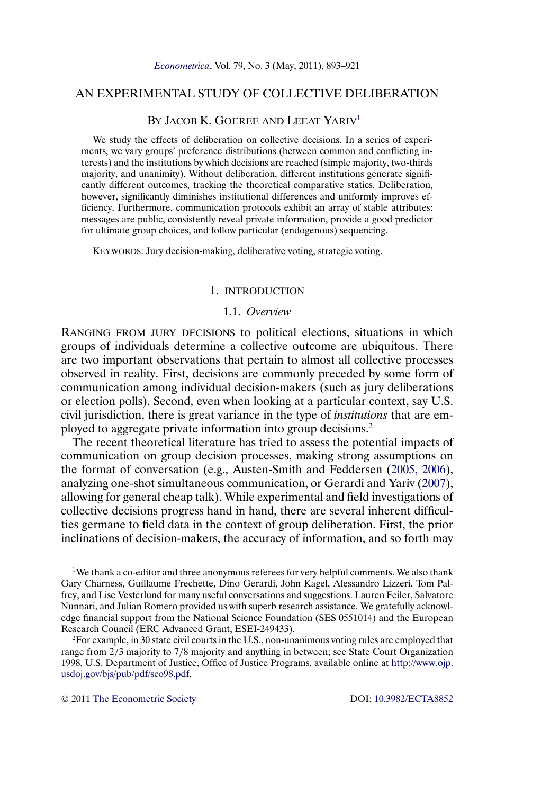# <span id="page-0-0"></span>AN EXPERIMENTAL STUDY OF COLLECTIVE DELIBERATION

# BY JACOB K. GOEREE AND LEEAT YARIV<sup>1</sup>

We study the effects of deliberation on collective decisions. In a series of experiments, we vary groups' preference distributions (between common and conflicting interests) and the institutions by which decisions are reached (simple majority, two-thirds majority, and unanimity). Without deliberation, different institutions generate significantly different outcomes, tracking the theoretical comparative statics. Deliberation, however, significantly diminishes institutional differences and uniformly improves efficiency. Furthermore, communication protocols exhibit an array of stable attributes: messages are public, consistently reveal private information, provide a good predictor for ultimate group choices, and follow particular (endogenous) sequencing.

KEYWORDS: Jury decision-making, deliberative voting, strategic voting.

# 1. INTRODUCTION

# 1.1. *Overview*

RANGING FROM JURY DECISIONS to political elections, situations in which groups of individuals determine a collective outcome are ubiquitous. There are two important observations that pertain to almost all collective processes observed in reality. First, decisions are commonly preceded by some form of communication among individual decision-makers (such as jury deliberations or election polls). Second, even when looking at a particular context, say U.S. civil jurisdiction, there is great variance in the type of *institutions* that are employed to aggregate private information into group decisions.2

The recent theoretical literature has tried to assess the potential impacts of communication on group decision processes, making strong assumptions on the format of conversation (e.g., Austen-Smith and Feddersen [\(2005, 2006\)](#page-27-0), analyzing one-shot simultaneous communication, or Gerardi and Yariv [\(2007\)](#page-28-0), allowing for general cheap talk). While experimental and field investigations of collective decisions progress hand in hand, there are several inherent difficulties germane to field data in the context of group deliberation. First, the prior inclinations of decision-makers, the accuracy of information, and so forth may

1We thank a co-editor and three anonymous referees for very helpful comments. We also thank Gary Charness, Guillaume Frechette, Dino Gerardi, John Kagel, Alessandro Lizzeri, Tom Palfrey, and Lise Vesterlund for many useful conversations and suggestions. Lauren Feiler, Salvatore Nunnari, and Julian Romero provided us with superb research assistance. We gratefully acknowledge financial support from the National Science Foundation (SES 0551014) and the European Research Council (ERC Advanced Grant, ESEI-249433).

2For example, in 30 state civil courts in the U.S., non-unanimous voting rules are employed that range from 2/3 majority to 7/8 majority and anything in between; see State Court Organization 1998, U.S. Department of Justice, Office of Justice Programs, available online at [http://www.ojp.](http://www.ojp.usdoj.gov/bjs/pub/pdf/sco98.pdf) [usdoj.gov/bjs/pub/pdf/sco98.pdf](http://www.ojp.usdoj.gov/bjs/pub/pdf/sco98.pdf).

© 2011 [The Econometric Society](http://www.econometricsociety.org/) DOI: [10.3982/ECTA8852](http://dx.doi.org/10.3982/ECTA8852)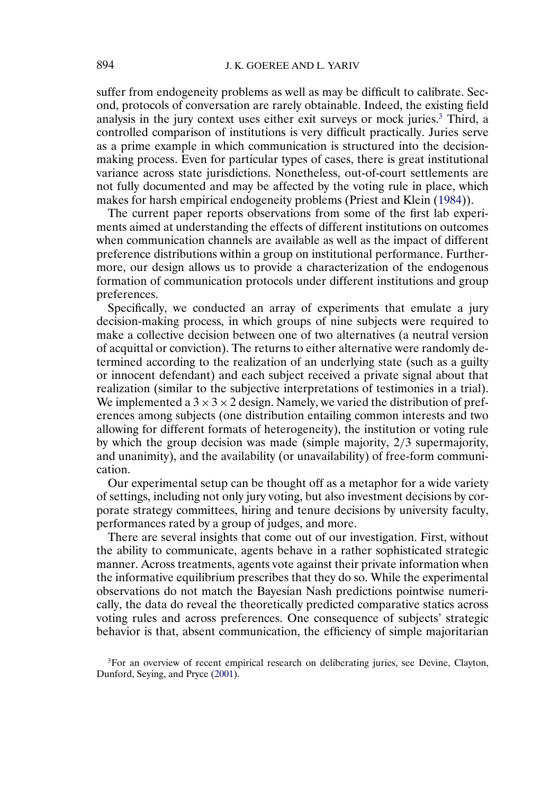<span id="page-1-0"></span>suffer from endogeneity problems as well as may be difficult to calibrate. Second, protocols of conversation are rarely obtainable. Indeed, the existing field analysis in the jury context uses either exit surveys or mock juries.<sup>3</sup> Third, a controlled comparison of institutions is very difficult practically. Juries serve as a prime example in which communication is structured into the decisionmaking process. Even for particular types of cases, there is great institutional variance across state jurisdictions. Nonetheless, out-of-court settlements are not fully documented and may be affected by the voting rule in place, which makes for harsh empirical endogeneity problems (Priest and Klein [\(1984\)](#page-28-0)).

The current paper reports observations from some of the first lab experiments aimed at understanding the effects of different institutions on outcomes when communication channels are available as well as the impact of different preference distributions within a group on institutional performance. Furthermore, our design allows us to provide a characterization of the endogenous formation of communication protocols under different institutions and group preferences.

Specifically, we conducted an array of experiments that emulate a jury decision-making process, in which groups of nine subjects were required to make a collective decision between one of two alternatives (a neutral version of acquittal or conviction). The returns to either alternative were randomly determined according to the realization of an underlying state (such as a guilty or innocent defendant) and each subject received a private signal about that realization (similar to the subjective interpretations of testimonies in a trial). We implemented a  $3 \times 3 \times 2$  design. Namely, we varied the distribution of preferences among subjects (one distribution entailing common interests and two allowing for different formats of heterogeneity), the institution or voting rule by which the group decision was made (simple majority, 2/3 supermajority, and unanimity), and the availability (or unavailability) of free-form communication.

Our experimental setup can be thought off as a metaphor for a wide variety of settings, including not only jury voting, but also investment decisions by corporate strategy committees, hiring and tenure decisions by university faculty, performances rated by a group of judges, and more.

There are several insights that come out of our investigation. First, without the ability to communicate, agents behave in a rather sophisticated strategic manner. Across treatments, agents vote against their private information when the informative equilibrium prescribes that they do so. While the experimental observations do not match the Bayesian Nash predictions pointwise numerically, the data do reveal the theoretically predicted comparative statics across voting rules and across preferences. One consequence of subjects' strategic behavior is that, absent communication, the efficiency of simple majoritarian

3For an overview of recent empirical research on deliberating juries, see Devine, Clayton, Dunford, Seying, and Pryce [\(2001\)](#page-27-0).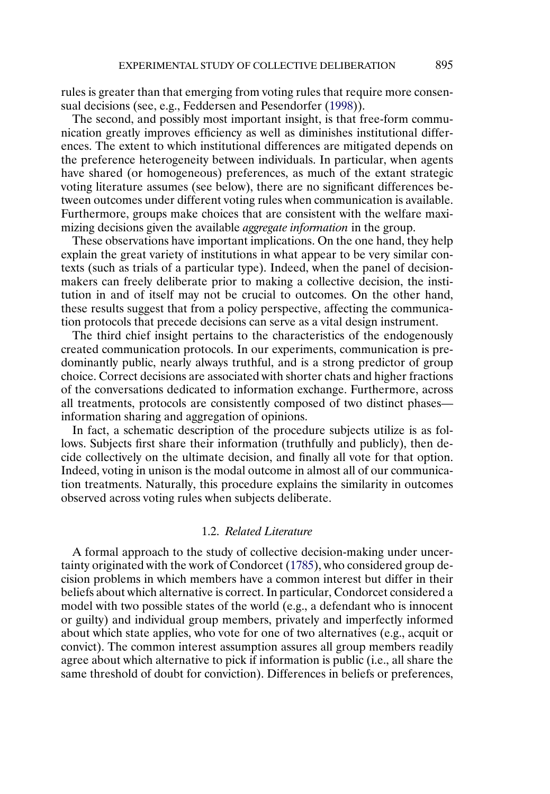<span id="page-2-0"></span>rules is greater than that emerging from voting rules that require more consensual decisions (see, e.g., Feddersen and Pesendorfer [\(1998\)](#page-28-0)).

The second, and possibly most important insight, is that free-form communication greatly improves efficiency as well as diminishes institutional differences. The extent to which institutional differences are mitigated depends on the preference heterogeneity between individuals. In particular, when agents have shared (or homogeneous) preferences, as much of the extant strategic voting literature assumes (see below), there are no significant differences between outcomes under different voting rules when communication is available. Furthermore, groups make choices that are consistent with the welfare maximizing decisions given the available *aggregate information* in the group.

These observations have important implications. On the one hand, they help explain the great variety of institutions in what appear to be very similar contexts (such as trials of a particular type). Indeed, when the panel of decisionmakers can freely deliberate prior to making a collective decision, the institution in and of itself may not be crucial to outcomes. On the other hand, these results suggest that from a policy perspective, affecting the communication protocols that precede decisions can serve as a vital design instrument.

The third chief insight pertains to the characteristics of the endogenously created communication protocols. In our experiments, communication is predominantly public, nearly always truthful, and is a strong predictor of group choice. Correct decisions are associated with shorter chats and higher fractions of the conversations dedicated to information exchange. Furthermore, across all treatments, protocols are consistently composed of two distinct phases information sharing and aggregation of opinions.

In fact, a schematic description of the procedure subjects utilize is as follows. Subjects first share their information (truthfully and publicly), then decide collectively on the ultimate decision, and finally all vote for that option. Indeed, voting in unison is the modal outcome in almost all of our communication treatments. Naturally, this procedure explains the similarity in outcomes observed across voting rules when subjects deliberate.

# 1.2. *Related Literature*

A formal approach to the study of collective decision-making under uncertainty originated with the work of Condorcet [\(1785\)](#page-27-0), who considered group decision problems in which members have a common interest but differ in their beliefs about which alternative is correct. In particular, Condorcet considered a model with two possible states of the world (e.g., a defendant who is innocent or guilty) and individual group members, privately and imperfectly informed about which state applies, who vote for one of two alternatives (e.g., acquit or convict). The common interest assumption assures all group members readily agree about which alternative to pick if information is public (i.e., all share the same threshold of doubt for conviction). Differences in beliefs or preferences,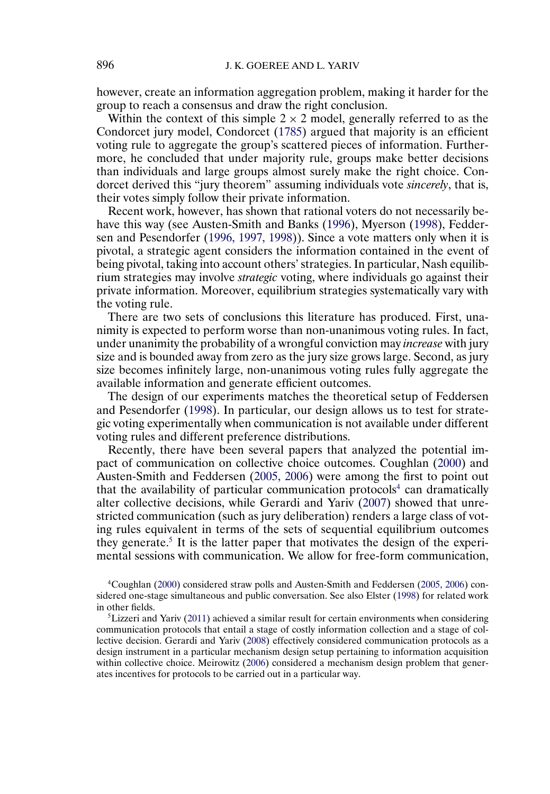<span id="page-3-0"></span>however, create an information aggregation problem, making it harder for the group to reach a consensus and draw the right conclusion.

Within the context of this simple  $2 \times 2$  model, generally referred to as the Condorcet jury model, Condorcet [\(1785\)](#page-27-0) argued that majority is an efficient voting rule to aggregate the group's scattered pieces of information. Furthermore, he concluded that under majority rule, groups make better decisions than individuals and large groups almost surely make the right choice. Condorcet derived this "jury theorem" assuming individuals vote *sincerely*, that is, their votes simply follow their private information.

Recent work, however, has shown that rational voters do not necessarily behave this way (see Austen-Smith and Banks [\(1996\)](#page-27-0), Myerson [\(1998\)](#page-28-0), Feddersen and Pesendorfer [\(1996, 1997, 1998\)](#page-28-0)). Since a vote matters only when it is pivotal, a strategic agent considers the information contained in the event of being pivotal, taking into account others' strategies. In particular, Nash equilibrium strategies may involve *strategic* voting, where individuals go against their private information. Moreover, equilibrium strategies systematically vary with the voting rule.

There are two sets of conclusions this literature has produced. First, unanimity is expected to perform worse than non-unanimous voting rules. In fact, under unanimity the probability of a wrongful conviction may *increase* with jury size and is bounded away from zero as the jury size grows large. Second, as jury size becomes infinitely large, non-unanimous voting rules fully aggregate the available information and generate efficient outcomes.

The design of our experiments matches the theoretical setup of Feddersen and Pesendorfer [\(1998\)](#page-28-0). In particular, our design allows us to test for strategic voting experimentally when communication is not available under different voting rules and different preference distributions.

Recently, there have been several papers that analyzed the potential impact of communication on collective choice outcomes. Coughlan [\(2000\)](#page-27-0) and Austen-Smith and Feddersen [\(2005, 2006\)](#page-27-0) were among the first to point out that the availability of particular communication protocols<sup>4</sup> can dramatically alter collective decisions, while Gerardi and Yariv [\(2007\)](#page-28-0) showed that unrestricted communication (such as jury deliberation) renders a large class of voting rules equivalent in terms of the sets of sequential equilibrium outcomes they generate.<sup>5</sup> It is the latter paper that motivates the design of the experimental sessions with communication. We allow for free-form communication,

<sup>4</sup>Coughlan [\(2000\)](#page-27-0) considered straw polls and Austen-Smith and Feddersen [\(2005, 2006\)](#page-27-0) considered one-stage simultaneous and public conversation. See also Elster [\(1998\)](#page-28-0) for related work in other fields.

 ${}^{5}$ Lizzeri and Yariv [\(2011\)](#page-28-0) achieved a similar result for certain environments when considering communication protocols that entail a stage of costly information collection and a stage of collective decision. Gerardi and Yariv [\(2008\)](#page-28-0) effectively considered communication protocols as a design instrument in a particular mechanism design setup pertaining to information acquisition within collective choice. Meirowitz [\(2006\)](#page-28-0) considered a mechanism design problem that generates incentives for protocols to be carried out in a particular way.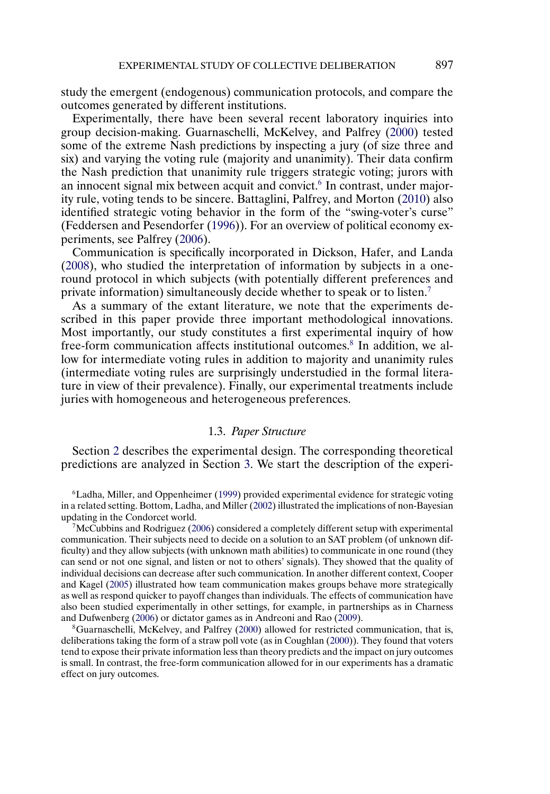<span id="page-4-0"></span>study the emergent (endogenous) communication protocols, and compare the outcomes generated by different institutions.

Experimentally, there have been several recent laboratory inquiries into group decision-making. Guarnaschelli, McKelvey, and Palfrey [\(2000\)](#page-28-0) tested some of the extreme Nash predictions by inspecting a jury (of size three and six) and varying the voting rule (majority and unanimity). Their data confirm the Nash prediction that unanimity rule triggers strategic voting; jurors with an innocent signal mix between acquit and convict.<sup>6</sup> In contrast, under majority rule, voting tends to be sincere. Battaglini, Palfrey, and Morton [\(2010\)](#page-27-0) also identified strategic voting behavior in the form of the "swing-voter's curse" (Feddersen and Pesendorfer [\(1996\)](#page-28-0)). For an overview of political economy experiments, see Palfrey [\(2006\)](#page-28-0).

Communication is specifically incorporated in Dickson, Hafer, and Landa [\(2008\)](#page-27-0), who studied the interpretation of information by subjects in a oneround protocol in which subjects (with potentially different preferences and private information) simultaneously decide whether to speak or to listen.7

As a summary of the extant literature, we note that the experiments described in this paper provide three important methodological innovations. Most importantly, our study constitutes a first experimental inquiry of how free-form communication affects institutional outcomes.<sup>8</sup> In addition, we allow for intermediate voting rules in addition to majority and unanimity rules (intermediate voting rules are surprisingly understudied in the formal literature in view of their prevalence). Finally, our experimental treatments include juries with homogeneous and heterogeneous preferences.

## 1.3. *Paper Structure*

Section [2](#page-5-0) describes the experimental design. The corresponding theoretical predictions are analyzed in Section [3.](#page-6-0) We start the description of the experi-

6Ladha, Miller, and Oppenheimer [\(1999\)](#page-28-0) provided experimental evidence for strategic voting in a related setting. Bottom, Ladha, and Miller [\(2002\)](#page-27-0) illustrated the implications of non-Bayesian updating in the Condorcet world.

 ${}^{7}$ McCubbins and Rodriguez [\(2006\)](#page-28-0) considered a completely different setup with experimental communication. Their subjects need to decide on a solution to an SAT problem (of unknown difficulty) and they allow subjects (with unknown math abilities) to communicate in one round (they can send or not one signal, and listen or not to others' signals). They showed that the quality of individual decisions can decrease after such communication. In another different context, Cooper and Kagel [\(2005\)](#page-27-0) illustrated how team communication makes groups behave more strategically as well as respond quicker to payoff changes than individuals. The effects of communication have also been studied experimentally in other settings, for example, in partnerships as in Charness and Dufwenberg [\(2006\)](#page-27-0) or dictator games as in Andreoni and Rao [\(2009\)](#page-27-0).

8Guarnaschelli, McKelvey, and Palfrey [\(2000\)](#page-28-0) allowed for restricted communication, that is, deliberations taking the form of a straw poll vote (as in Coughlan [\(2000\)](#page-27-0)). They found that voters tend to expose their private information less than theory predicts and the impact on jury outcomes is small. In contrast, the free-form communication allowed for in our experiments has a dramatic effect on jury outcomes.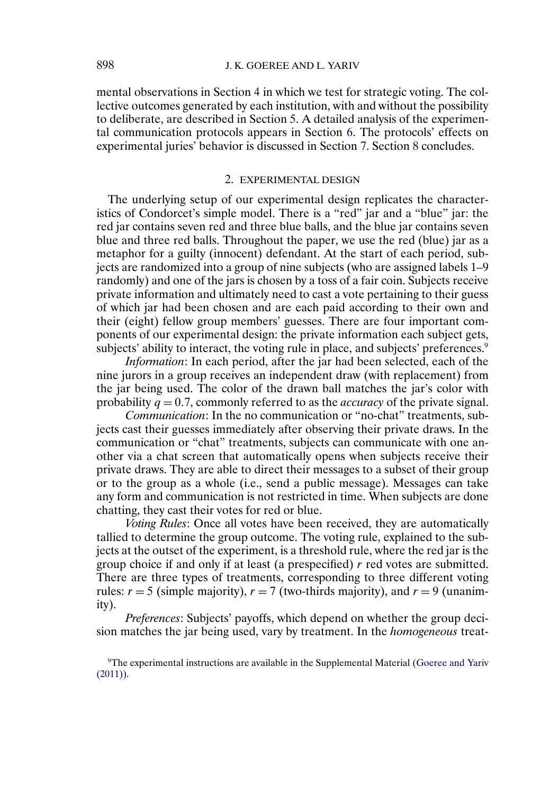<span id="page-5-0"></span>mental observations in Section [4](#page-9-0) in which we test for strategic voting. The collective outcomes generated by each institution, with and without the possibility to deliberate, are described in Section [5.](#page-16-0) A detailed analysis of the experimental communication protocols appears in Section [6.](#page-20-0) The protocols' effects on experimental juries' behavior is discussed in Section [7.](#page-23-0) Section [8](#page-24-0) concludes.

### 2. EXPERIMENTAL DESIGN

The underlying setup of our experimental design replicates the characteristics of Condorcet's simple model. There is a "red" jar and a "blue" jar: the red jar contains seven red and three blue balls, and the blue jar contains seven blue and three red balls. Throughout the paper, we use the red (blue) jar as a metaphor for a guilty (innocent) defendant. At the start of each period, subjects are randomized into a group of nine subjects (who are assigned labels 1–9 randomly) and one of the jars is chosen by a toss of a fair coin. Subjects receive private information and ultimately need to cast a vote pertaining to their guess of which jar had been chosen and are each paid according to their own and their (eight) fellow group members' guesses. There are four important components of our experimental design: the private information each subject gets, subjects' ability to interact, the voting rule in place, and subjects' preferences.<sup>9</sup>

*Information*: In each period, after the jar had been selected, each of the nine jurors in a group receives an independent draw (with replacement) from the jar being used. The color of the drawn ball matches the jar's color with probability  $q = 0.7$ , commonly referred to as the *accuracy* of the private signal.

*Communication*: In the no communication or "no-chat" treatments, subjects cast their guesses immediately after observing their private draws. In the communication or "chat" treatments, subjects can communicate with one another via a chat screen that automatically opens when subjects receive their private draws. They are able to direct their messages to a subset of their group or to the group as a whole (i.e., send a public message). Messages can take any form and communication is not restricted in time. When subjects are done chatting, they cast their votes for red or blue.

*Voting Rules*: Once all votes have been received, they are automatically tallied to determine the group outcome. The voting rule, explained to the subjects at the outset of the experiment, is a threshold rule, where the red jar is the group choice if and only if at least (a prespecified)  $r$  red votes are submitted. There are three types of treatments, corresponding to three different voting rules:  $r = 5$  (simple majority),  $r = 7$  (two-thirds majority), and  $r = 9$  (unanimity).

*Preferences*: Subjects' payoffs, which depend on whether the group decision matches the jar being used, vary by treatment. In the *homogeneous* treat-

9The experimental instructions are available in the Supplemental Material [\(Goeree and Yariv](#page-28-0) [\(2011\)\)](#page-28-0).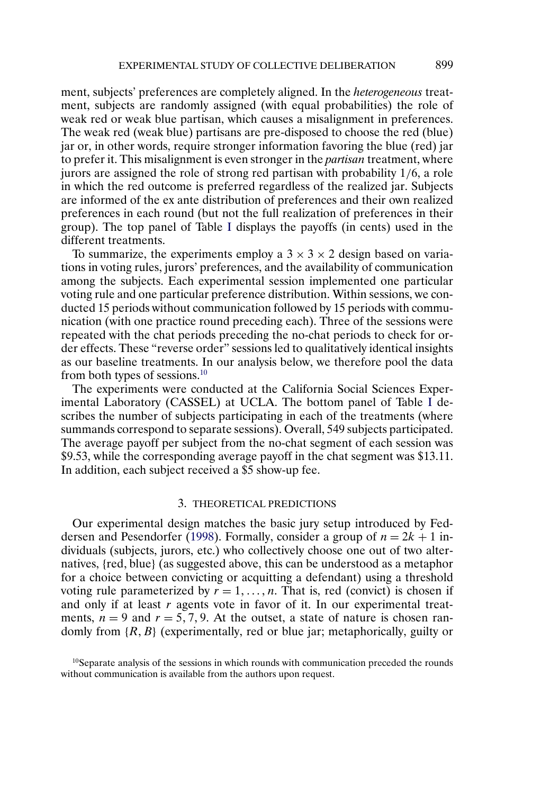<span id="page-6-0"></span>ment, subjects' preferences are completely aligned. In the *heterogeneous* treatment, subjects are randomly assigned (with equal probabilities) the role of weak red or weak blue partisan, which causes a misalignment in preferences. The weak red (weak blue) partisans are pre-disposed to choose the red (blue) jar or, in other words, require stronger information favoring the blue (red) jar to prefer it. This misalignment is even stronger in the *partisan* treatment, where jurors are assigned the role of strong red partisan with probability 1/6, a role in which the red outcome is preferred regardless of the realized jar. Subjects are informed of the ex ante distribution of preferences and their own realized preferences in each round (but not the full realization of preferences in their group). The top panel of Table [I](#page-7-0) displays the payoffs (in cents) used in the different treatments.

To summarize, the experiments employ a  $3 \times 3 \times 2$  design based on variations in voting rules, jurors' preferences, and the availability of communication among the subjects. Each experimental session implemented one particular voting rule and one particular preference distribution. Within sessions, we conducted 15 periods without communication followed by 15 periods with communication (with one practice round preceding each). Three of the sessions were repeated with the chat periods preceding the no-chat periods to check for order effects. These "reverse order" sessions led to qualitatively identical insights as our baseline treatments. In our analysis below, we therefore pool the data from both types of sessions.10

The experiments were conducted at the California Social Sciences Experimental Laboratory (CASSEL) at UCLA. The bottom panel of Table [I](#page-7-0) describes the number of subjects participating in each of the treatments (where summands correspond to separate sessions). Overall, 549 subjects participated. The average payoff per subject from the no-chat segment of each session was \$9.53, while the corresponding average payoff in the chat segment was \$13.11. In addition, each subject received a \$5 show-up fee.

## 3. THEORETICAL PREDICTIONS

Our experimental design matches the basic jury setup introduced by Fed-dersen and Pesendorfer [\(1998\)](#page-28-0). Formally, consider a group of  $n = 2k + 1$  individuals (subjects, jurors, etc.) who collectively choose one out of two alternatives, {red blue} (as suggested above, this can be understood as a metaphor for a choice between convicting or acquitting a defendant) using a threshold voting rule parameterized by  $r = 1, \ldots, n$ . That is, red (convict) is chosen if and only if at least  $r$  agents vote in favor of it. In our experimental treatments,  $n = 9$  and  $r = 5, 7, 9$ . At the outset, a state of nature is chosen randomly from  $\{R, B\}$  (experimentally, red or blue jar; metaphorically, guilty or

 $10$ Separate analysis of the sessions in which rounds with communication preceded the rounds without communication is available from the authors upon request.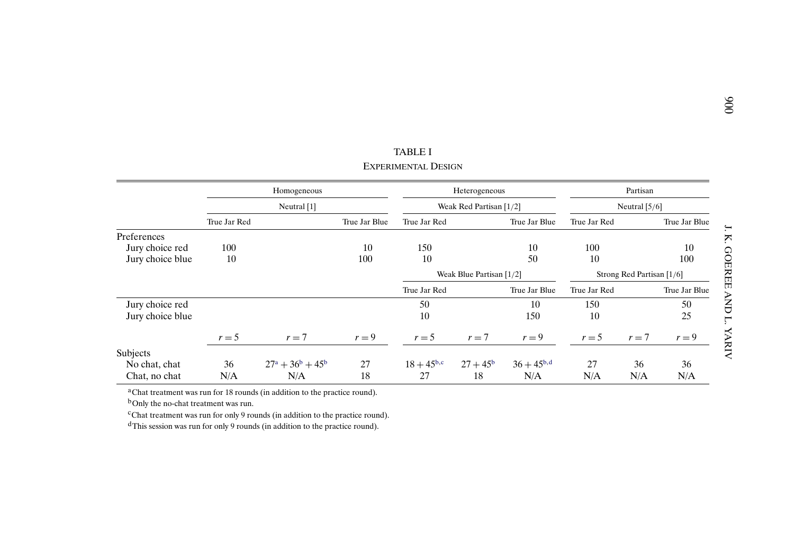<span id="page-7-0"></span>

|                  |              |                      |               | TABLE I<br><b>EXPERIMENTAL DESIGN</b> |                          |                 |                 |                           |               |
|------------------|--------------|----------------------|---------------|---------------------------------------|--------------------------|-----------------|-----------------|---------------------------|---------------|
|                  |              | Homogeneous          |               |                                       | Heterogeneous            |                 | Partisan        |                           |               |
|                  |              | Neutral [1]          |               | Weak Red Partisan [1/2]               |                          |                 | Neutral $[5/6]$ |                           |               |
|                  | True Jar Red |                      | True Jar Blue | True Jar Red                          |                          | True Jar Blue   | True Jar Red    |                           | True Jar Blue |
| Preferences      |              |                      |               |                                       |                          |                 |                 |                           |               |
| Jury choice red  | 100          |                      | 10            | 150                                   |                          | 10              | 100             |                           | 10            |
| Jury choice blue | 10           |                      | 100           | 10                                    | 50<br>10                 |                 | 100             |                           |               |
|                  |              |                      |               |                                       | Weak Blue Partisan [1/2] |                 |                 | Strong Red Partisan [1/6] |               |
|                  |              |                      |               | True Jar Red                          |                          | True Jar Blue   | True Jar Red    |                           | True Jar Blue |
| Jury choice red  |              |                      |               | 50                                    |                          | 10              | 150             |                           | 50            |
| Jury choice blue |              |                      |               | 10                                    |                          | 150             | 10              |                           | 25            |
|                  | $r = 5$      | $r=7$                | $r = 9$       | $r = 5$                               | $r=7$                    | $r = 9$         | $r = 5$         | $r=7$                     | $r = 9$       |
| Subjects         |              |                      |               |                                       |                          |                 |                 |                           |               |
| No chat, chat    | 36           | $27^a + 36^b + 45^b$ | 27            | $18 + 45^{b,c}$                       | $27+45^{\rm b}$          | $36 + 45^{b,d}$ | 27              | 36                        | 36            |
| Chat, no chat    | N/A          | N/A                  | 18            | 27                                    | 18                       | N/A             | N/A             | N/A                       | N/A           |

<sup>a</sup>Chat treatment was run for 18 rounds (in addition to the practice round).

bOnly the no-chat treatment was run.

cChat treatment was run for only <sup>9</sup> rounds (in addition to the practice round).

dThis session was run for only <sup>9</sup> rounds (in addition to the practice round).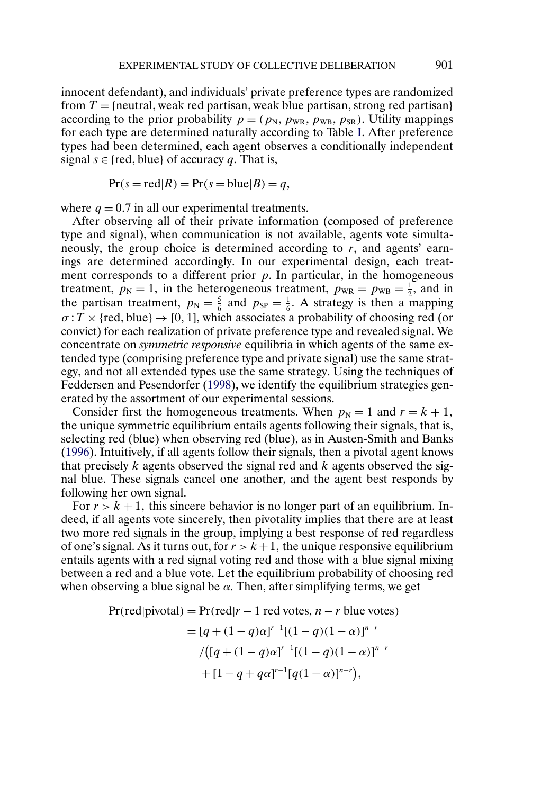innocent defendant), and individuals' private preference types are randomized from  $T =$ {neutral, weak red partisan, weak blue partisan, strong red partisan} according to the prior probability  $p = (p_N, p_{WR}, p_{WB}, p_{SR})$ . Utility mappings for each type are determined naturally according to Table [I.](#page-7-0) After preference types had been determined, each agent observes a conditionally independent signal  $s \in \{ \text{red}, \text{blue} \}$  of accuracy q. That is,

$$
Pr(s = red | R) = Pr(s = blue | B) = q,
$$

where  $q = 0.7$  in all our experimental treatments.

After observing all of their private information (composed of preference type and signal), when communication is not available, agents vote simultaneously, the group choice is determined according to  $r$ , and agents' earnings are determined accordingly. In our experimental design, each treatment corresponds to a different prior  $p$ . In particular, in the homogeneous treatment,  $p_N = 1$ , in the heterogeneous treatment,  $p_{WR} = p_{WB} = \frac{1}{2}$ , and in the partisan treatment,  $p_N = \frac{5}{6}$  and  $p_{SP} = \frac{1}{6}$ . A strategy is then a mapping  $\sigma$ : T × {red, blue}  $\rightarrow$  [0, 1], which associates a probability of choosing red (or convict) for each realization of private preference type and revealed signal. We concentrate on *symmetric responsive* equilibria in which agents of the same extended type (comprising preference type and private signal) use the same strategy, and not all extended types use the same strategy. Using the techniques of Feddersen and Pesendorfer [\(1998\)](#page-28-0), we identify the equilibrium strategies generated by the assortment of our experimental sessions.

Consider first the homogeneous treatments. When  $p_N = 1$  and  $r = k + 1$ , the unique symmetric equilibrium entails agents following their signals, that is, selecting red (blue) when observing red (blue), as in Austen-Smith and Banks [\(1996\)](#page-27-0). Intuitively, if all agents follow their signals, then a pivotal agent knows that precisely  $k$  agents observed the signal red and  $k$  agents observed the signal blue. These signals cancel one another, and the agent best responds by following her own signal.

For  $r > k + 1$ , this sincere behavior is no longer part of an equilibrium. Indeed, if all agents vote sincerely, then pivotality implies that there are at least two more red signals in the group, implying a best response of red regardless of one's signal. As it turns out, for  $r > k+1$ , the unique responsive equilibrium entails agents with a red signal voting red and those with a blue signal mixing between a red and a blue vote. Let the equilibrium probability of choosing red when observing a blue signal be  $\alpha$ . Then, after simplifying terms, we get

$$
Pr(\text{red}|\text{pivotal}) = Pr(\text{red}|r - 1 \text{ red votes}, n - r \text{ blue votes})
$$
  
=  $[q + (1 - q)\alpha]^{r-1}[(1 - q)(1 - \alpha)]^{n-r}$   

$$
/([q + (1 - q)\alpha]^{r-1}[(1 - q)(1 - \alpha)]^{n-r}
$$
  
+  $[1 - q + q\alpha]^{r-1}[q(1 - \alpha)]^{n-r}$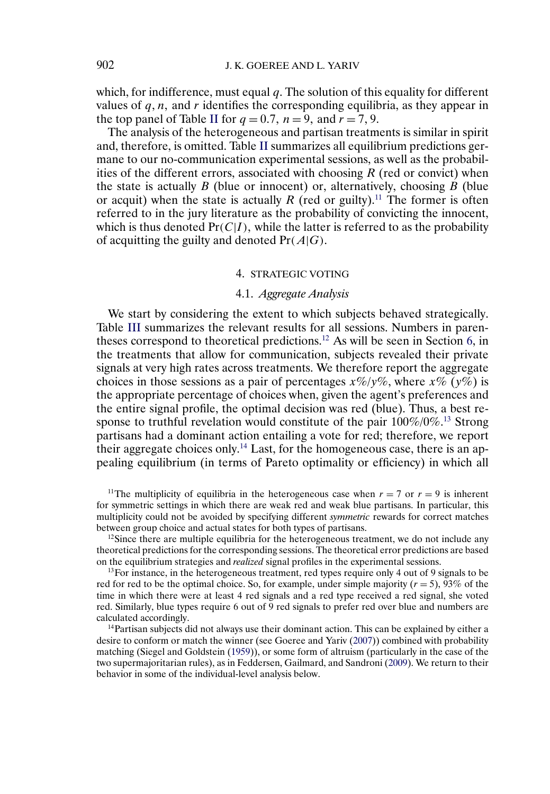<span id="page-9-0"></span>which, for indifference, must equal q. The solution of this equality for different values of  $q$ ,  $n$ , and  $r$  identifies the corresponding equilibria, as they appear in the top panel of Table [II](#page-10-0) for  $q = 0.7$ ,  $n = 9$ , and  $r = 7, 9$ .

The analysis of the heterogeneous and partisan treatments is similar in spirit and, therefore, is omitted. Table [II](#page-10-0) summarizes all equilibrium predictions germane to our no-communication experimental sessions, as well as the probabilities of the different errors, associated with choosing  $R$  (red or convict) when the state is actually  $B$  (blue or innocent) or, alternatively, choosing  $B$  (blue or acquit) when the state is actually R (red or guilty).<sup>11</sup> The former is often referred to in the jury literature as the probability of convicting the innocent, which is thus denoted  $Pr(C|I)$ , while the latter is referred to as the probability of acquitting the guilty and denoted  $Pr(A|G)$ .

# 4. STRATEGIC VOTING

# 4.1. *Aggregate Analysis*

We start by considering the extent to which subjects behaved strategically. Table [III](#page-11-0) summarizes the relevant results for all sessions. Numbers in paren-theses correspond to theoretical predictions.<sup>12</sup> As will be seen in Section [6,](#page-20-0) in the treatments that allow for communication, subjects revealed their private signals at very high rates across treatments. We therefore report the aggregate choices in those sessions as a pair of percentages  $x\%$ /y%, where  $x\%$  (y%) is the appropriate percentage of choices when, given the agent's preferences and the entire signal profile, the optimal decision was red (blue). Thus, a best response to truthful revelation would constitute of the pair  $100\%/0\%$ .<sup>13</sup> Strong partisans had a dominant action entailing a vote for red; therefore, we report their aggregate choices only.14 Last, for the homogeneous case, there is an appealing equilibrium (in terms of Pareto optimality or efficiency) in which all

<sup>11</sup>The multiplicity of equilibria in the heterogeneous case when  $r = 7$  or  $r = 9$  is inherent for symmetric settings in which there are weak red and weak blue partisans. In particular, this multiplicity could not be avoided by specifying different *symmetric* rewards for correct matches between group choice and actual states for both types of partisans.

 $12$ Since there are multiple equilibria for the heterogeneous treatment, we do not include any theoretical predictions for the corresponding sessions. The theoretical error predictions are based on the equilibrium strategies and *realized* signal profiles in the experimental sessions.

<sup>13</sup>For instance, in the heterogeneous treatment, red types require only 4 out of 9 signals to be red for red to be the optimal choice. So, for example, under simple majority ( $r = 5$ ), 93% of the time in which there were at least 4 red signals and a red type received a red signal, she voted red. Similarly, blue types require 6 out of  $\overline{9}$  red signals to prefer red over blue and numbers are calculated accordingly.

<sup>14</sup>Partisan subjects did not always use their dominant action. This can be explained by either a desire to conform or match the winner (see Goeree and Yariv [\(2007\)](#page-28-0)) combined with probability matching (Siegel and Goldstein [\(1959\)](#page-28-0)), or some form of altruism (particularly in the case of the two supermajoritarian rules), as in Feddersen, Gailmard, and Sandroni [\(2009\)](#page-28-0). We return to their behavior in some of the individual-level analysis below.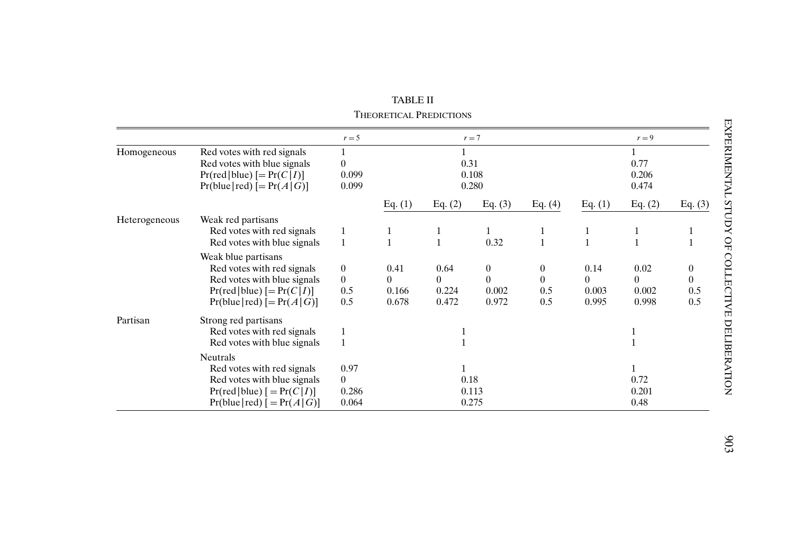<span id="page-10-0"></span>

|               |                                                                                                                                                                     | $r = 5$                                        |                                    |                             | $r = 7$                                              |                                          |                                    | $r = 9$                            |                                    |  |
|---------------|---------------------------------------------------------------------------------------------------------------------------------------------------------------------|------------------------------------------------|------------------------------------|-----------------------------|------------------------------------------------------|------------------------------------------|------------------------------------|------------------------------------|------------------------------------|--|
| Homogeneous   | Red votes with red signals<br>Red votes with blue signals<br>$Pr(\text{red}  \text{blue})$ [= $Pr(C I)$ ]<br>$Pr(blue   red)$ [= $Pr(A G)$ ]                        | $\overline{0}$<br>0.099<br>0.099               |                                    | 0.31<br>0.108<br>0.280      |                                                      |                                          |                                    | 0.77<br>0.206<br>0.474             |                                    |  |
|               |                                                                                                                                                                     |                                                | Eq. (1)                            | Eq. $(2)$                   | Eq. $(3)$                                            | Eq. $(4)$                                | Eq. $(1)$                          | Eq. $(2)$                          | Eq. $(3)$                          |  |
| Heterogeneous | Weak red partisans<br>Red votes with red signals<br>Red votes with blue signals                                                                                     | $\mathbf{1}$<br>$\mathbf{1}$                   |                                    | $\mathbf{1}$                | 0.32                                                 |                                          | $\mathbf{1}$<br>$\mathbf{1}$       | 1                                  | 1                                  |  |
|               | Weak blue partisans<br>Red votes with red signals<br>Red votes with blue signals<br>$Pr(\text{red}  \text{blue})$ [= $Pr(C I)$ ]<br>$Pr(blue   red)$ [= $Pr(A G)$ ] | $\boldsymbol{0}$<br>$\mathbf{0}$<br>0.5<br>0.5 | 0.41<br>$\Omega$<br>0.166<br>0.678 | 0.64<br>0<br>0.224<br>0.472 | $\boldsymbol{0}$<br>$\overline{0}$<br>0.002<br>0.972 | $\overline{0}$<br>$\Omega$<br>0.5<br>0.5 | 0.14<br>$\Omega$<br>0.003<br>0.995 | 0.02<br>$\Omega$<br>0.002<br>0.998 | $\bf{0}$<br>$\Omega$<br>0.5<br>0.5 |  |
| Partisan      | Strong red partisans<br>Red votes with red signals<br>Red votes with blue signals                                                                                   | $\mathbf{1}$<br>$\mathbf{1}$                   |                                    |                             |                                                      |                                          |                                    |                                    |                                    |  |
|               | <b>Neutrals</b><br>Red votes with red signals<br>Red votes with blue signals<br>$Pr(\text{red}  \text{blue})$ $[ = Pr(C I)]$<br>$Pr(blue   red)$ $[= Pr(A   G)]$    | 0.97<br>$\overline{0}$<br>0.286<br>0.064       |                                    | 0.18                        | 0.113<br>0.275                                       |                                          |                                    | 0.72<br>0.201<br>0.48              |                                    |  |

TABLE II THEORETICAL PREDICTIONS

903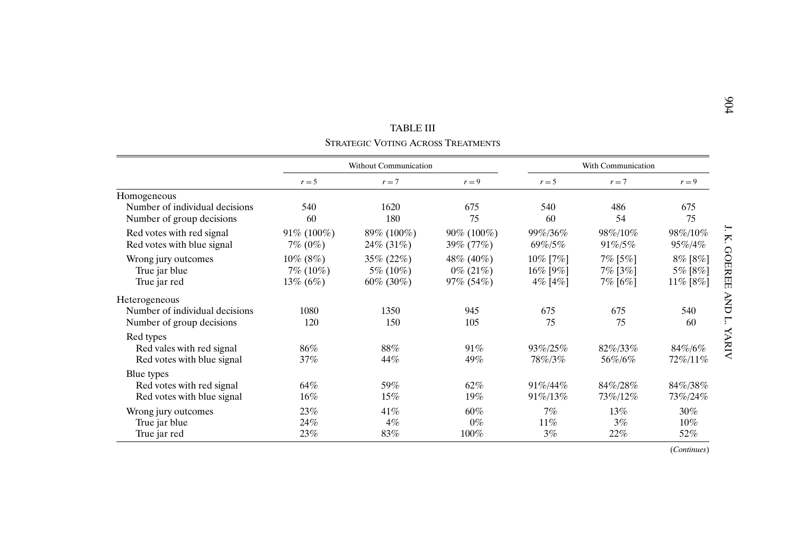<span id="page-11-0"></span>

|                                                                              |                                              | TABLE III<br><b>STRATEGIC VOTING ACROSS TREATMENTS</b> |                                          |                                         |                                   |                                |  |  |
|------------------------------------------------------------------------------|----------------------------------------------|--------------------------------------------------------|------------------------------------------|-----------------------------------------|-----------------------------------|--------------------------------|--|--|
|                                                                              |                                              | Without Communication                                  |                                          |                                         | With Communication                |                                |  |  |
|                                                                              | $r = 5$                                      | $r = 7$                                                | $r = 9$                                  | $r = 5$                                 | $r = 7$                           | $r = 9$                        |  |  |
| Homogeneous<br>Number of individual decisions<br>Number of group decisions   | 540<br>60                                    | 1620<br>180                                            | 675<br>75                                | 540<br>60                               | 486<br>54                         | 675<br>75                      |  |  |
| Red votes with red signal<br>Red votes with blue signal                      | $91\% (100\%)$<br>$7\% (0\%)$                | 89% (100%)<br>24\% (31\%)                              | $90\% (100\%)$<br>39% (77%)              | 99%/36%<br>69%/5%                       | 98%/10%<br>$91\%/5\%$             | 98%/10%<br>95%/4%              |  |  |
| Wrong jury outcomes<br>True jar blue<br>True jar red                         | $10\% (8\%)$<br>$7\% (10\%)$<br>$13\% (6\%)$ | $35\% (22\%)$<br>5\% (10\%)<br>$60\% (30\%)$           | 48\% (40\%)<br>$0\% (21\%)$<br>97% (54%) | 10% [7%]<br>16% [9%]<br>$4\%$ [ $4\%$ ] | 7% [5%]<br>$7\%$ [3\%]<br>7% [6%] | 8% [8%]<br>5% [8%]<br>11% [8%] |  |  |
| Heterogeneous<br>Number of individual decisions<br>Number of group decisions | 1080<br>120                                  | 1350<br>150                                            | 945<br>105                               | 675<br>75                               | 675<br>75                         | 540<br>60                      |  |  |
| Red types<br>Red vales with red signal<br>Red votes with blue signal         | 86%<br>37%                                   | 88%<br>44%                                             | 91%<br>49%                               | 93%/25%<br>78%/3%                       | 82%/33%<br>56%/6%                 | 84%/6%<br>72%/11%              |  |  |
| Blue types<br>Red votes with red signal<br>Red votes with blue signal        | 64%<br>$16\%$                                | 59%<br>15%                                             | $62\%$<br>19%                            | 91%/44%<br>91%/13%                      | 84%/28%<br>73%/12%                | 84%/38%<br>73%/24%             |  |  |
| Wrong jury outcomes<br>True jar blue<br>True jar red                         | 23%<br>24%<br>23%                            | 41%<br>4%<br>83%                                       | 60%<br>$0\%$<br>100%                     | 7%<br>11%<br>3%                         | 13%<br>3%<br>22%                  | 30%<br>$10\%$<br>52%           |  |  |

(*Continues*)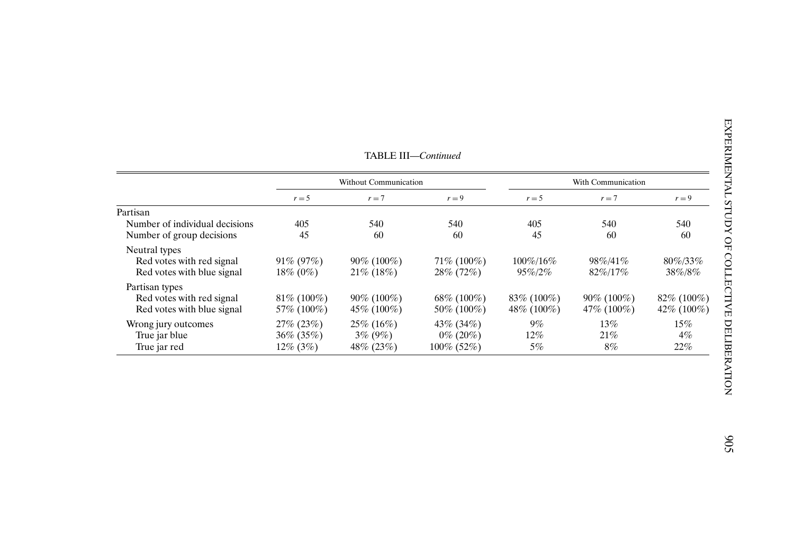|                                                                           |                                                | Without Communication                         |                                          | With Communication           |                            |                            |  |  |
|---------------------------------------------------------------------------|------------------------------------------------|-----------------------------------------------|------------------------------------------|------------------------------|----------------------------|----------------------------|--|--|
|                                                                           | $r = 5$                                        | $r = 7$                                       | $r = 9$                                  | $r = 5$                      | $r = 7$                    | $r = 9$                    |  |  |
| Partisan<br>Number of individual decisions<br>Number of group decisions   | 405<br>45                                      | 540<br>60                                     | 540<br>60                                | 405<br>45                    | 540<br>60                  | 540<br>60                  |  |  |
| Neutral types<br>Red votes with red signal<br>Red votes with blue signal  | $91\% (97\%)$<br>$18\% (0\%)$                  | $90\%$ (100%)<br>$21\% (18\%)$                | $71\% (100\%)$<br>28% (72%)              | 100%/16%<br>95%/2%           | 98%/41%<br>82%/17%         | 80%/33%<br>38%/8%          |  |  |
| Partisan types<br>Red votes with red signal<br>Red votes with blue signal | 81% (100%)<br>57\% (100\%)                     | $90\%$ (100%)<br>45\% (100\%)                 | 68\% (100\%)<br>50\% (100\%)             | 83\% (100\%)<br>48\% (100\%) | 90% (100%)<br>47\% (100\%) | 82\% (100\%)<br>42% (100%) |  |  |
| Wrong jury outcomes<br>True jar blue<br>True jar red                      | $27\% (23\%)$<br>$36\% (35\%)$<br>$12\% (3\%)$ | $25\% (16\%)$<br>$3\% (9\%)$<br>$48\% (23\%)$ | 43\% (34\%)<br>$0\%$ (20%)<br>100% (52%) | $9\%$<br>$12\%$<br>5%        | 13%<br>21%<br>8%           | $15\%$<br>$4\%$<br>22%     |  |  |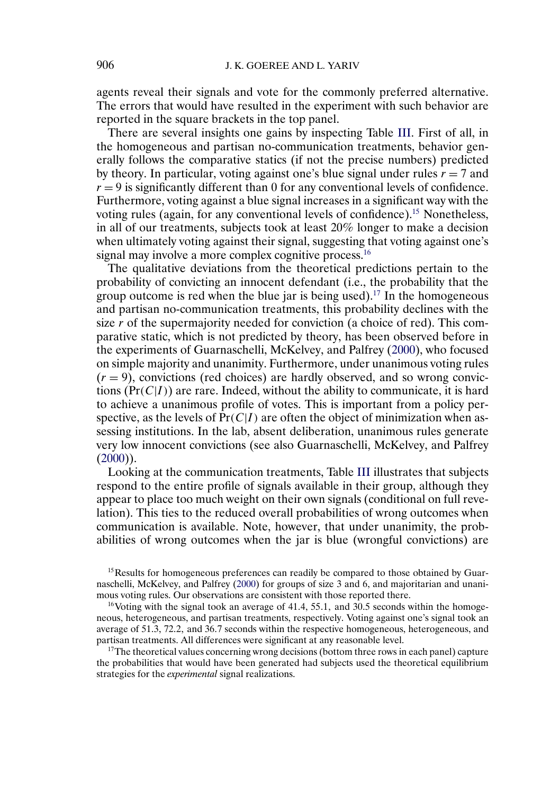agents reveal their signals and vote for the commonly preferred alternative. The errors that would have resulted in the experiment with such behavior are reported in the square brackets in the top panel.

There are several insights one gains by inspecting Table [III.](#page-11-0) First of all, in the homogeneous and partisan no-communication treatments, behavior generally follows the comparative statics (if not the precise numbers) predicted by theory. In particular, voting against one's blue signal under rules  $r = 7$  and  $r = 9$  is significantly different than 0 for any conventional levels of confidence. Furthermore, voting against a blue signal increases in a significant way with the voting rules (again, for any conventional levels of confidence).15 Nonetheless, in all of our treatments, subjects took at least 20% longer to make a decision when ultimately voting against their signal, suggesting that voting against one's signal may involve a more complex cognitive process.<sup>16</sup>

The qualitative deviations from the theoretical predictions pertain to the probability of convicting an innocent defendant (i.e., the probability that the group outcome is red when the blue jar is being used).<sup>17</sup> In the homogeneous and partisan no-communication treatments, this probability declines with the size  $r$  of the supermajority needed for conviction (a choice of red). This comparative static, which is not predicted by theory, has been observed before in the experiments of Guarnaschelli, McKelvey, and Palfrey [\(2000\)](#page-28-0), who focused on simple majority and unanimity. Furthermore, under unanimous voting rules  $(r = 9)$ , convictions (red choices) are hardly observed, and so wrong convictions  $(\Pr(C|I))$  are rare. Indeed, without the ability to communicate, it is hard to achieve a unanimous profile of votes. This is important from a policy perspective, as the levels of  $Pr(C|I)$  are often the object of minimization when assessing institutions. In the lab, absent deliberation, unanimous rules generate very low innocent convictions (see also Guarnaschelli, McKelvey, and Palfrey [\(2000\)](#page-28-0)).

Looking at the communication treatments, Table [III](#page-11-0) illustrates that subjects respond to the entire profile of signals available in their group, although they appear to place too much weight on their own signals (conditional on full revelation). This ties to the reduced overall probabilities of wrong outcomes when communication is available. Note, however, that under unanimity, the probabilities of wrong outcomes when the jar is blue (wrongful convictions) are

<sup>15</sup>Results for homogeneous preferences can readily be compared to those obtained by Guarnaschelli, McKelvey, and Palfrey [\(2000\)](#page-28-0) for groups of size 3 and 6, and majoritarian and unanimous voting rules. Our observations are consistent with those reported there.

 $16$ Voting with the signal took an average of 41.4, 55.1, and 30.5 seconds within the homogeneous, heterogeneous, and partisan treatments, respectively. Voting against one's signal took an average of 51.3, 72.2, and 36.7 seconds within the respective homogeneous, heterogeneous, and partisan treatments. All differences were significant at any reasonable level.

 $17$ The theoretical values concerning wrong decisions (bottom three rows in each panel) capture the probabilities that would have been generated had subjects used the theoretical equilibrium strategies for the *experimental* signal realizations.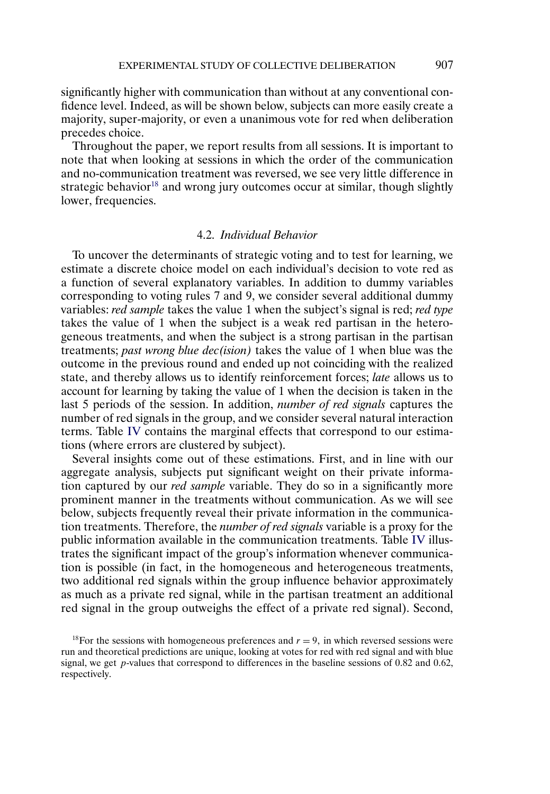significantly higher with communication than without at any conventional confidence level. Indeed, as will be shown below, subjects can more easily create a majority, super-majority, or even a unanimous vote for red when deliberation precedes choice.

Throughout the paper, we report results from all sessions. It is important to note that when looking at sessions in which the order of the communication and no-communication treatment was reversed, we see very little difference in strategic behavior<sup>18</sup> and wrong jury outcomes occur at similar, though slightly lower, frequencies.

# 4.2. *Individual Behavior*

To uncover the determinants of strategic voting and to test for learning, we estimate a discrete choice model on each individual's decision to vote red as a function of several explanatory variables. In addition to dummy variables corresponding to voting rules 7 and 9, we consider several additional dummy variables: *red sample* takes the value 1 when the subject's signal is red; *red type* takes the value of 1 when the subject is a weak red partisan in the heterogeneous treatments, and when the subject is a strong partisan in the partisan treatments; *past wrong blue dec(ision)* takes the value of 1 when blue was the outcome in the previous round and ended up not coinciding with the realized state, and thereby allows us to identify reinforcement forces; *late* allows us to account for learning by taking the value of 1 when the decision is taken in the last 5 periods of the session. In addition, *number of red signals* captures the number of red signals in the group, and we consider several natural interaction terms. Table [IV](#page-15-0) contains the marginal effects that correspond to our estimations (where errors are clustered by subject).

Several insights come out of these estimations. First, and in line with our aggregate analysis, subjects put significant weight on their private information captured by our *red sample* variable. They do so in a significantly more prominent manner in the treatments without communication. As we will see below, subjects frequently reveal their private information in the communication treatments. Therefore, the *number of red signals* variable is a proxy for the public information available in the communication treatments. Table [IV](#page-15-0) illustrates the significant impact of the group's information whenever communication is possible (in fact, in the homogeneous and heterogeneous treatments, two additional red signals within the group influence behavior approximately as much as a private red signal, while in the partisan treatment an additional red signal in the group outweighs the effect of a private red signal). Second,

<sup>18</sup>For the sessions with homogeneous preferences and  $r = 9$ , in which reversed sessions were run and theoretical predictions are unique, looking at votes for red with red signal and with blue signal, we get  $p$ -values that correspond to differences in the baseline sessions of  $0.82$  and  $0.62$ , respectively.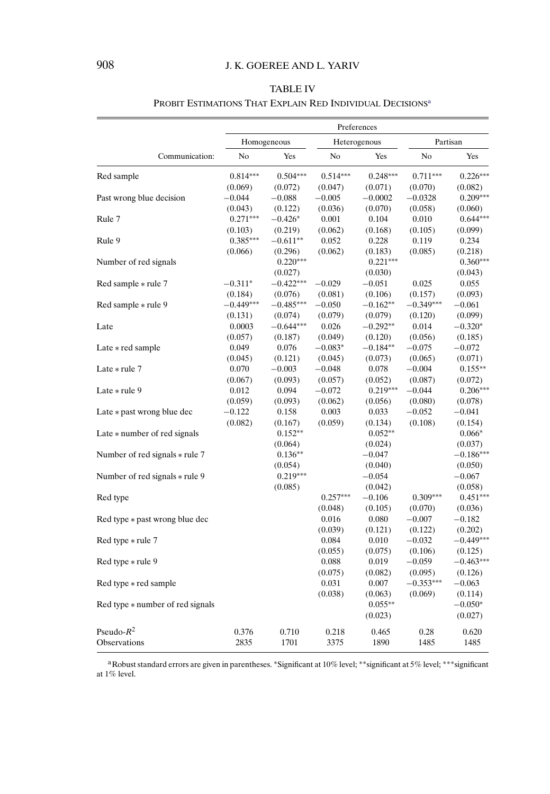<span id="page-15-0"></span>

|                                  |             |             |            | Preferences  |             |             |
|----------------------------------|-------------|-------------|------------|--------------|-------------|-------------|
|                                  |             | Homogeneous |            | Heterogenous |             | Partisan    |
| Communication:                   | No          | Yes         | No         | Yes          | No          | Yes         |
| Red sample                       | $0.814***$  | $0.504***$  | $0.514***$ | $0.248***$   | $0.711***$  | $0.226***$  |
|                                  | (0.069)     | (0.072)     | (0.047)    | (0.071)      | (0.070)     | (0.082)     |
| Past wrong blue decision         | $-0.044$    | $-0.088$    | $-0.005$   | $-0.0002$    | $-0.0328$   | $0.209***$  |
|                                  | (0.043)     | (0.122)     | (0.036)    | (0.070)      | (0.058)     | (0.060)     |
| Rule 7                           | $0.271***$  | $-0.426*$   | 0.001      | 0.104        | 0.010       | $0.644***$  |
|                                  | (0.103)     | (0.219)     | (0.062)    | (0.168)      | (0.105)     | (0.099)     |
| Rule 9                           | $0.385***$  | $-0.611**$  | 0.052      | 0.228        | 0.119       | 0.234       |
|                                  | (0.066)     | (0.296)     | (0.062)    | (0.183)      | (0.085)     | (0.218)     |
| Number of red signals            |             | $0.220***$  |            | $0.221***$   |             | $0.360***$  |
|                                  |             | (0.027)     |            | (0.030)      |             | (0.043)     |
| Red sample $*$ rule 7            | $-0.311*$   | $-0.422***$ | $-0.029$   | $-0.051$     | 0.025       | 0.055       |
|                                  | (0.184)     | (0.076)     | (0.081)    | (0.106)      | (0.157)     | (0.093)     |
| Red sample * rule 9              | $-0.449***$ | $-0.485***$ | $-0.050$   | $-0.162**$   | $-0.349***$ | $-0.061$    |
|                                  | (0.131)     | (0.074)     | (0.079)    | (0.079)      | (0.120)     | (0.099)     |
| Late                             | 0.0003      | $-0.644***$ | 0.026      | $-0.292**$   | 0.014       | $-0.320*$   |
|                                  | (0.057)     | (0.187)     | (0.049)    | (0.120)      | (0.056)     | (0.185)     |
| Late * red sample                | 0.049       | 0.076       | $-0.083*$  | $-0.184**$   | $-0.075$    | $-0.072$    |
|                                  | (0.045)     | (0.121)     | (0.045)    | (0.073)      | (0.065)     | (0.071)     |
| Late $*$ rule $7$                | 0.070       | $-0.003$    | $-0.048$   | 0.078        | $-0.004$    | $0.155**$   |
|                                  | (0.067)     | (0.093)     | (0.057)    | (0.052)      | (0.087)     | (0.072)     |
| Late $*$ rule 9                  | 0.012       | 0.094       | $-0.072$   | $0.219***$   | $-0.044$    | $0.206***$  |
|                                  | (0.059)     | (0.093)     | (0.062)    | (0.056)      | (0.080)     | (0.078)     |
| Late * past wrong blue dec       | $-0.122$    | 0.158       | 0.003      | 0.033        | $-0.052$    | $-0.041$    |
|                                  | (0.082)     | (0.167)     | (0.059)    | (0.134)      | (0.108)     | (0.154)     |
| Late $*$ number of red signals   |             | $0.152**$   |            | $0.052**$    |             | $0.066*$    |
|                                  |             | (0.064)     |            | (0.024)      |             | (0.037)     |
| Number of red signals * rule 7   |             | $0.136**$   |            | $-0.047$     |             | $-0.186***$ |
|                                  |             | (0.054)     |            | (0.040)      |             | (0.050)     |
| Number of red signals * rule 9   |             | $0.219***$  |            | $-0.054$     |             | $-0.067$    |
|                                  |             | (0.085)     |            | (0.042)      |             | (0.058)     |
| Red type                         |             |             | $0.257***$ | $-0.106$     | $0.309***$  | $0.451***$  |
|                                  |             |             | (0.048)    | (0.105)      | (0.070)     | (0.036)     |
| Red type * past wrong blue dec   |             |             | 0.016      | 0.080        | $-0.007$    | $-0.182$    |
|                                  |             |             | (0.039)    | (0.121)      | (0.122)     | (0.202)     |
| Red type * rule 7                |             |             | 0.084      | 0.010        | $-0.032$    | $-0.449***$ |
|                                  |             |             | (0.055)    | (0.075)      | (0.106)     | (0.125)     |
| Red type * rule 9                |             |             | 0.088      | 0.019        | $-0.059$    | $-0.463***$ |
|                                  |             |             | (0.075)    | (0.082)      | (0.095)     | (0.126)     |
| Red type * red sample            |             |             | 0.031      | 0.007        | $-0.353***$ | $-0.063$    |
|                                  |             |             | (0.038)    | (0.063)      | (0.069)     | (0.114)     |
| Red type * number of red signals |             |             |            | $0.055**$    |             | $-0.050*$   |
|                                  |             |             |            | (0.023)      |             | (0.027)     |
| Pseudo- $R^2$                    | 0.376       | 0.710       | 0.218      | 0.465        | 0.28        | 0.620       |
| Observations                     | 2835        | 1701        | 3375       | 1890         | 1485        | 1485        |

# TABLE IV PROBIT ESTIMATIONS THAT EXPLAIN RED INDIVIDUAL DECISIONS<sup>a</sup>

aRobust standard errors are given in parentheses. \*Significant at 10% level; \*\*significant at 5% level; \*\*\*significant at  $1\%$  level.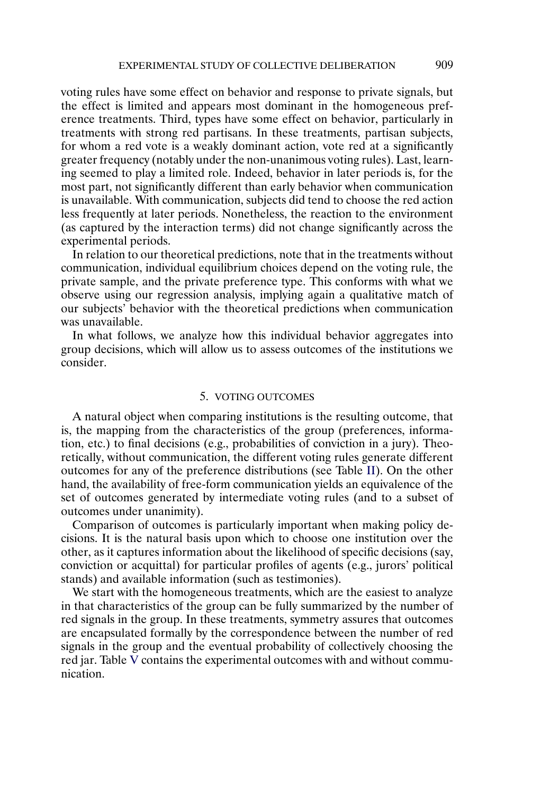<span id="page-16-0"></span>voting rules have some effect on behavior and response to private signals, but the effect is limited and appears most dominant in the homogeneous preference treatments. Third, types have some effect on behavior, particularly in treatments with strong red partisans. In these treatments, partisan subjects, for whom a red vote is a weakly dominant action, vote red at a significantly greater frequency (notably under the non-unanimous voting rules). Last, learning seemed to play a limited role. Indeed, behavior in later periods is, for the most part, not significantly different than early behavior when communication is unavailable. With communication, subjects did tend to choose the red action less frequently at later periods. Nonetheless, the reaction to the environment (as captured by the interaction terms) did not change significantly across the experimental periods.

In relation to our theoretical predictions, note that in the treatments without communication, individual equilibrium choices depend on the voting rule, the private sample, and the private preference type. This conforms with what we observe using our regression analysis, implying again a qualitative match of our subjects' behavior with the theoretical predictions when communication was unavailable.

In what follows, we analyze how this individual behavior aggregates into group decisions, which will allow us to assess outcomes of the institutions we consider.

## 5. VOTING OUTCOMES

A natural object when comparing institutions is the resulting outcome, that is, the mapping from the characteristics of the group (preferences, information, etc.) to final decisions (e.g., probabilities of conviction in a jury). Theoretically, without communication, the different voting rules generate different outcomes for any of the preference distributions (see Table [II\)](#page-10-0). On the other hand, the availability of free-form communication yields an equivalence of the set of outcomes generated by intermediate voting rules (and to a subset of outcomes under unanimity).

Comparison of outcomes is particularly important when making policy decisions. It is the natural basis upon which to choose one institution over the other, as it captures information about the likelihood of specific decisions (say, conviction or acquittal) for particular profiles of agents (e.g., jurors' political stands) and available information (such as testimonies).

We start with the homogeneous treatments, which are the easiest to analyze in that characteristics of the group can be fully summarized by the number of red signals in the group. In these treatments, symmetry assures that outcomes are encapsulated formally by the correspondence between the number of red signals in the group and the eventual probability of collectively choosing the red jar. Table [V](#page-17-0) contains the experimental outcomes with and without communication.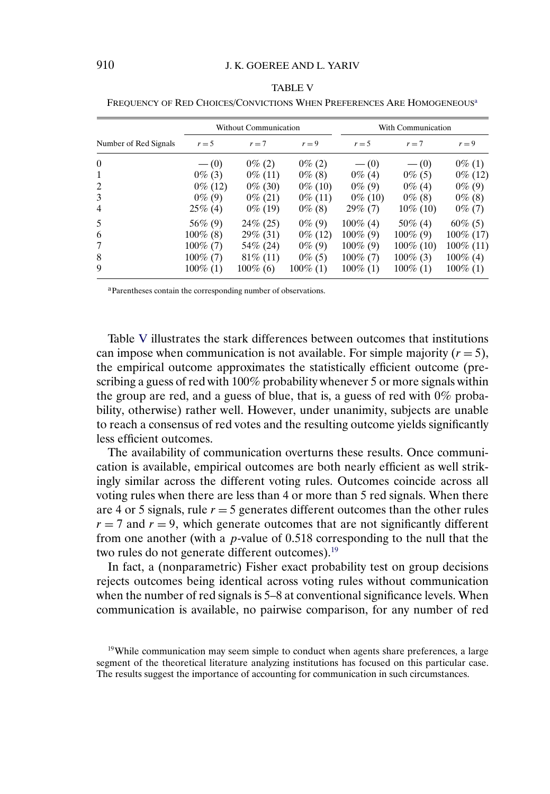|                       |             | Without Communication |             | With Communication |              |              |  |  |
|-----------------------|-------------|-----------------------|-------------|--------------------|--------------|--------------|--|--|
| Number of Red Signals | $r = 5$     | $r = 7$               | $r = 9$     | $r = 5$            | $r = 7$      | $r = 9$      |  |  |
| $\bf{0}$              | $- (0)$     | $0\%$ (2)             | $0\%$ (2)   | $- (0)$            | $- (0)$      | $0\%$ (1)    |  |  |
|                       | $0\%$ (3)   | $0\%$ (11)            | $0\%$ (8)   | $0\%$ (4)          | $0\%$ (5)    | $0\%$ (12)   |  |  |
| 2                     | $0\%$ (12)  | $0\%$ (30)            | $0\%$ (10)  | $0\%$ (9)          | $0\%$ (4)    | $0\%$ (9)    |  |  |
| 3                     | $0\%$ (9)   | $0\%$ (21)            | $0\%$ (11)  | $0\%$ (10)         | $0\%$ (8)    | $0\%$ (8)    |  |  |
| $\overline{4}$        | $25\%$ (4)  | $0\%$ (19)            | $0\%$ (8)   | $29\%$ (7)         | $10\%$ (10)  | $0\%$ (7)    |  |  |
| 5                     | $56\%$ (9)  | $24\% (25)$           | $0\%$ (9)   | $100\%$ (4)        | $50\%$ (4)   | $60\%$ (5)   |  |  |
| 6                     | $100\%$ (8) | $29\%$ (31)           | $0\%$ (12)  | $100\%$ (9)        | $100\%$ (9)  | $100\%$ (17) |  |  |
|                       | $100\%$ (7) | $54\%$ (24)           | $0\%$ (9)   | $100\%$ (9)        | $100\%$ (10) | $100\%$ (11) |  |  |
| 8                     | $100\%$ (7) | $81\%$ (11)           | $0\%$ (5)   | $100\%$ (7)        | $100\%$ (3)  | $100\%$ (4)  |  |  |
| 9                     | $100\%$ (1) | $100\%$ (6)           | $100\%$ (1) | $100\%$ (1)        | $100\%$ (1)  | $100\%$ (1)  |  |  |

<span id="page-17-0"></span>TABLE V FREQUENCY OF RED CHOICES/CONVICTIONS WHEN PREFERENCES ARE HOMOGENEOUS<sup>a</sup>

aParentheses contain the corresponding number of observations.

Table V illustrates the stark differences between outcomes that institutions can impose when communication is not available. For simple majority  $(r = 5)$ , the empirical outcome approximates the statistically efficient outcome (prescribing a guess of red with 100% probability whenever 5 or more signals within the group are red, and a guess of blue, that is, a guess of red with  $0\%$  probability, otherwise) rather well. However, under unanimity, subjects are unable to reach a consensus of red votes and the resulting outcome yields significantly less efficient outcomes.

The availability of communication overturns these results. Once communication is available, empirical outcomes are both nearly efficient as well strikingly similar across the different voting rules. Outcomes coincide across all voting rules when there are less than 4 or more than 5 red signals. When there are 4 or 5 signals, rule  $r = 5$  generates different outcomes than the other rules  $r = 7$  and  $r = 9$ , which generate outcomes that are not significantly different from one another (with a *p*-value of 0.518 corresponding to the null that the two rules do not generate different outcomes).19

In fact, a (nonparametric) Fisher exact probability test on group decisions rejects outcomes being identical across voting rules without communication when the number of red signals is 5–8 at conventional significance levels. When communication is available, no pairwise comparison, for any number of red

<sup>&</sup>lt;sup>19</sup>While communication may seem simple to conduct when agents share preferences, a large segment of the theoretical literature analyzing institutions has focused on this particular case. The results suggest the importance of accounting for communication in such circumstances.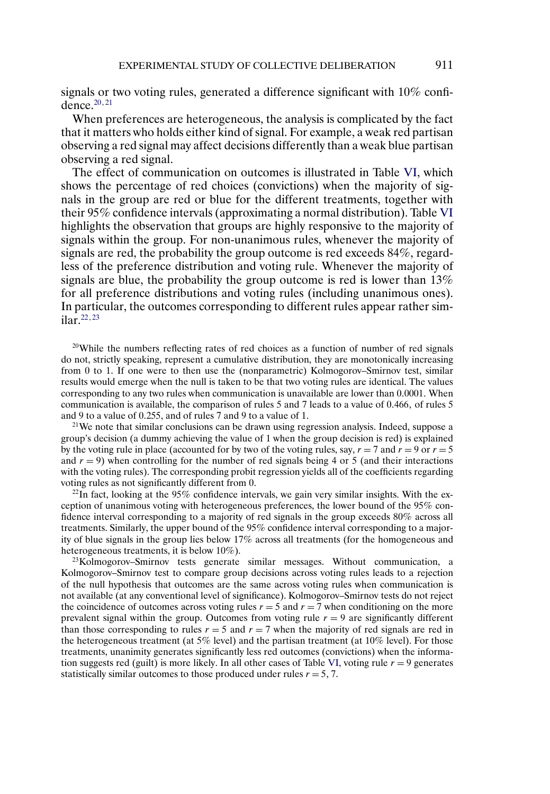signals or two voting rules, generated a difference significant with 10% confidence. $20,21$ 

When preferences are heterogeneous, the analysis is complicated by the fact that it matters who holds either kind of signal. For example, a weak red partisan observing a red signal may affect decisions differently than a weak blue partisan observing a red signal.

The effect of communication on outcomes is illustrated in Table [VI,](#page-19-0) which shows the percentage of red choices (convictions) when the majority of signals in the group are red or blue for the different treatments, together with their 95% confidence intervals (approximating a normal distribution). Table [VI](#page-19-0) highlights the observation that groups are highly responsive to the majority of signals within the group. For non-unanimous rules, whenever the majority of signals are red, the probability the group outcome is red exceeds 84%, regardless of the preference distribution and voting rule. Whenever the majority of signals are blue, the probability the group outcome is red is lower than 13% for all preference distributions and voting rules (including unanimous ones). In particular, the outcomes corresponding to different rules appear rather sim $i$ lar.<sup>22,23</sup>

20While the numbers reflecting rates of red choices as a function of number of red signals do not, strictly speaking, represent a cumulative distribution, they are monotonically increasing from 0 to 1. If one were to then use the (nonparametric) Kolmogorov–Smirnov test, similar results would emerge when the null is taken to be that two voting rules are identical. The values corresponding to any two rules when communication is unavailable are lower than 0.0001. When communication is available, the comparison of rules 5 and 7 leads to a value of 0.466, of rules 5 and 9 to a value of 0-255, and of rules 7 and 9 to a value of 1-

 $21$ We note that similar conclusions can be drawn using regression analysis. Indeed, suppose a group's decision (a dummy achieving the value of 1 when the group decision is red) is explained by the voting rule in place (accounted for by two of the voting rules, say,  $r = 7$  and  $r = 9$  or  $r = 5$ and  $r = 9$ ) when controlling for the number of red signals being 4 or 5 (and their interactions with the voting rules). The corresponding probit regression yields all of the coefficients regarding voting rules as not significantly different from 0.

 $^{22}$ In fact, looking at the 95% confidence intervals, we gain very similar insights. With the exception of unanimous voting with heterogeneous preferences, the lower bound of the 95% confidence interval corresponding to a majority of red signals in the group exceeds 80% across all treatments. Similarly, the upper bound of the 95% confidence interval corresponding to a majority of blue signals in the group lies below 17% across all treatments (for the homogeneous and heterogeneous treatments, it is below 10%).

 $^{23}$ Kolmogorov–Smirnov tests generate similar messages. Without communication, a Kolmogorov–Smirnov test to compare group decisions across voting rules leads to a rejection of the null hypothesis that outcomes are the same across voting rules when communication is not available (at any conventional level of significance). Kolmogorov–Smirnov tests do not reject the coincidence of outcomes across voting rules  $r = 5$  and  $r = 7$  when conditioning on the more prevalent signal within the group. Outcomes from voting rule  $r = 9$  are significantly different than those corresponding to rules  $r = 5$  and  $r = 7$  when the majority of red signals are red in the heterogeneous treatment (at  $5\%$  level) and the partisan treatment (at  $10\%$  level). For those treatments, unanimity generates significantly less red outcomes (convictions) when the informa-tion suggests red (guilt) is more likely. In all other cases of Table [VI,](#page-19-0) voting rule  $r = 9$  generates statistically similar outcomes to those produced under rules  $r = 5, 7$ .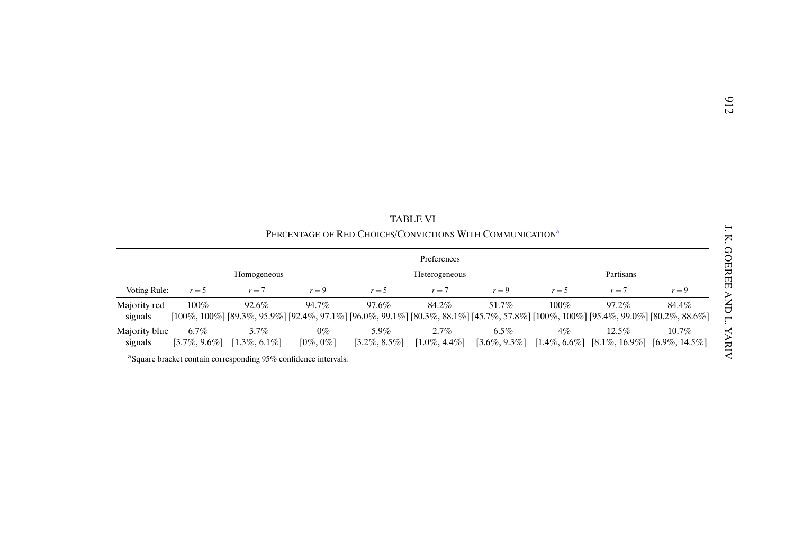<span id="page-19-0"></span>

|                          |                                           |                             | PERCENTAGE OF RED CHOICES/CONVICTIONS WITH COMMUNICATION <sup>a</sup>                                                                                                           |                          |                             |                             |                           |          |                                                 |  |
|--------------------------|-------------------------------------------|-----------------------------|---------------------------------------------------------------------------------------------------------------------------------------------------------------------------------|--------------------------|-----------------------------|-----------------------------|---------------------------|----------|-------------------------------------------------|--|
|                          |                                           |                             |                                                                                                                                                                                 |                          | Preferences                 |                             |                           |          |                                                 |  |
|                          | Partisans<br>Heterogeneous<br>Homogeneous |                             |                                                                                                                                                                                 |                          |                             |                             |                           |          |                                                 |  |
| Voting Rule:             | $r = 5$                                   | $r = 7$                     | $r = 9$                                                                                                                                                                         | $r = 5$                  | $r = 7$                     | $r = 9$                     | $r = 5$                   | $r = 7$  | $r = 9$                                         |  |
| Majority red<br>signals  | $100\%$                                   | 92.6%                       | 94.7%<br>$[100\%, 100\%]$ $[89.3\%, 95.9\%]$ $[92.4\%, 97.1\%]$ $[96.0\%, 99.1\%]$ $[80.3\%, 88.1\%]$ $[45.7\%, 57.8\%]$ $[100\%, 100\%]$ $[95.4\%, 99.0\%]$ $[80.2\%, 88.6\%]$ | 97.6%                    | 84.2%                       | 51.7%                       | $100\%$                   | 97.2%    | 84.4%                                           |  |
| Majority blue<br>signals | $6.7\%$<br>$[3.7\%, 9.6\%]$               | $3.7\%$<br>$[1.3\%, 6.1\%]$ | $0\%$<br>$[0\%, 0\%]$                                                                                                                                                           | 5.9%<br>$[3.2\%, 8.5\%]$ | $2.7\%$<br>$[1.0\%, 4.4\%]$ | $6.5\%$<br>$[3.6\%, 9.3\%]$ | $4\%$<br>$[1.4\%, 6.6\%]$ | $12.5\%$ | $10.7\%$<br>$[8.1\%, 16.9\%]$ $[6.9\%, 14.5\%]$ |  |
|                          |                                           |                             | <sup>a</sup> Square bracket contain corresponding 95% confidence intervals.                                                                                                     |                          |                             |                             |                           |          |                                                 |  |

TABLE VI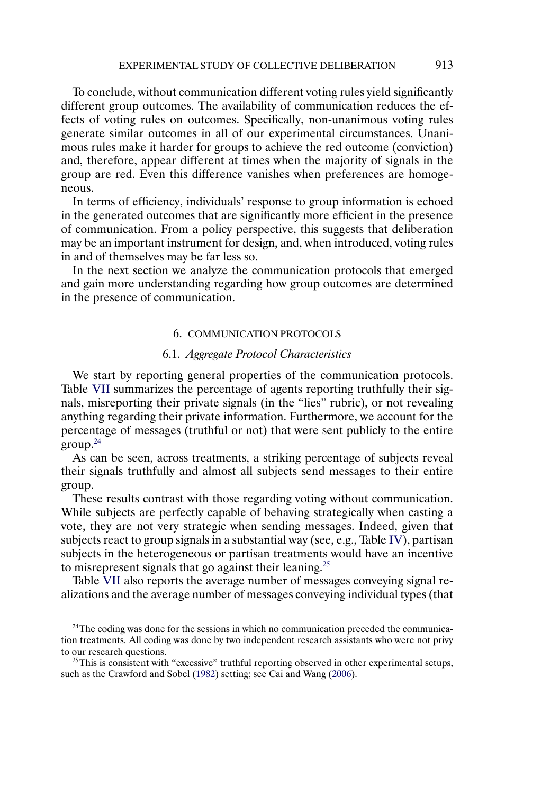<span id="page-20-0"></span>To conclude, without communication different voting rules yield significantly different group outcomes. The availability of communication reduces the effects of voting rules on outcomes. Specifically, non-unanimous voting rules generate similar outcomes in all of our experimental circumstances. Unanimous rules make it harder for groups to achieve the red outcome (conviction) and, therefore, appear different at times when the majority of signals in the group are red. Even this difference vanishes when preferences are homogeneous.

In terms of efficiency, individuals' response to group information is echoed in the generated outcomes that are significantly more efficient in the presence of communication. From a policy perspective, this suggests that deliberation may be an important instrument for design, and, when introduced, voting rules in and of themselves may be far less so.

In the next section we analyze the communication protocols that emerged and gain more understanding regarding how group outcomes are determined in the presence of communication.

## 6. COMMUNICATION PROTOCOLS

## 6.1. *Aggregate Protocol Characteristics*

We start by reporting general properties of the communication protocols. Table [VII](#page-21-0) summarizes the percentage of agents reporting truthfully their signals, misreporting their private signals (in the "lies" rubric), or not revealing anything regarding their private information. Furthermore, we account for the percentage of messages (truthful or not) that were sent publicly to the entire  $\text{group}^{\,24}$ 

As can be seen, across treatments, a striking percentage of subjects reveal their signals truthfully and almost all subjects send messages to their entire group.

These results contrast with those regarding voting without communication. While subjects are perfectly capable of behaving strategically when casting a vote, they are not very strategic when sending messages. Indeed, given that subjects react to group signals in a substantial way (see, e.g., Table [IV\)](#page-15-0), partisan subjects in the heterogeneous or partisan treatments would have an incentive to misrepresent signals that go against their leaning.<sup>25</sup>

Table [VII](#page-21-0) also reports the average number of messages conveying signal realizations and the average number of messages conveying individual types (that

<sup>24</sup>The coding was done for the sessions in which no communication preceded the communication treatments. All coding was done by two independent research assistants who were not privy to our research questions.

 $25$ This is consistent with "excessive" truthful reporting observed in other experimental setups, such as the Crawford and Sobel [\(1982\)](#page-27-0) setting; see Cai and Wang [\(2006\)](#page-27-0).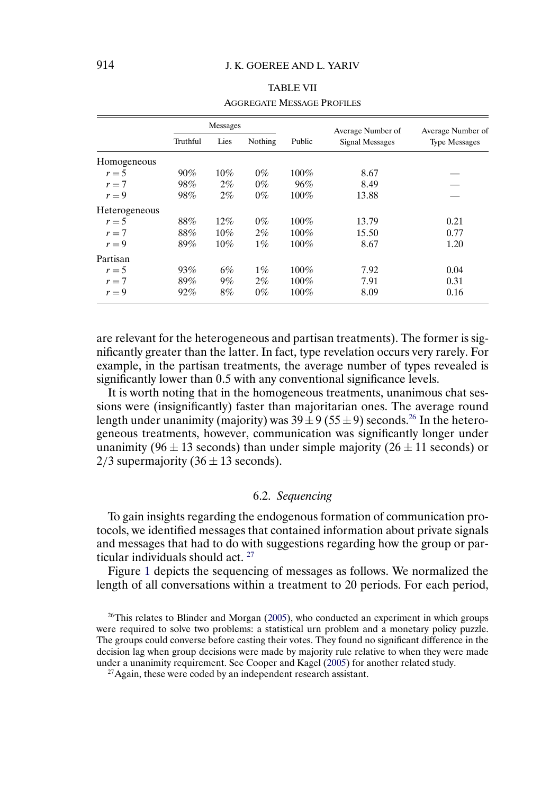<span id="page-21-0"></span>

|               |                             | Messages |        |                        | Average Number of    | Average Number of |
|---------------|-----------------------------|----------|--------|------------------------|----------------------|-------------------|
|               | Truthful<br>Lies<br>Nothing |          | Public | <b>Signal Messages</b> | <b>Type Messages</b> |                   |
| Homogeneous   |                             |          |        |                        |                      |                   |
| $r = 5$       | 90%                         | $10\%$   | $0\%$  | $100\%$                | 8.67                 |                   |
| $r = 7$       | 98%                         | 2%       | $0\%$  | 96%                    | 8.49                 |                   |
| $r = 9$       | 98%                         | 2%       | $0\%$  | 100%                   | 13.88                |                   |
| Heterogeneous |                             |          |        |                        |                      |                   |
| $r = 5$       | 88%                         | 12%      | $0\%$  | 100%                   | 13.79                | 0.21              |
| $r = 7$       | 88%                         | $10\%$   | $2\%$  | $100\%$                | 15.50                | 0.77              |
| $r = 9$       | 89%                         | $10\%$   | $1\%$  | 100%                   | 8.67                 | 1.20              |
| Partisan      |                             |          |        |                        |                      |                   |
| $r = 5$       | 93%                         | $6\%$    | $1\%$  | $100\%$                | 7.92                 | 0.04              |
| $r = 7$       | 89%                         | $9\%$    | $2\%$  | 100%                   | 7.91                 | 0.31              |
| $r = 9$       | 92%                         | 8%       | $0\%$  | $100\%$                | 8.09                 | 0.16              |

TABLE VII AGGREGATE MESSAGE PROFILES

are relevant for the heterogeneous and partisan treatments). The former is significantly greater than the latter. In fact, type revelation occurs very rarely. For example, in the partisan treatments, the average number of types revealed is significantly lower than 0-5 with any conventional significance levels.

It is worth noting that in the homogeneous treatments, unanimous chat sessions were (insignificantly) faster than majoritarian ones. The average round length under unanimity (majority) was  $39 \pm 9 (55 \pm 9)$  seconds.<sup>26</sup> In the heterogeneous treatments, however, communication was significantly longer under unanimity (96  $\pm$  13 seconds) than under simple majority (26  $\pm$  11 seconds) or 2/3 supermajority  $(36 \pm 13$  seconds).

# 6.2. *Sequencing*

To gain insights regarding the endogenous formation of communication protocols, we identified messages that contained information about private signals and messages that had to do with suggestions regarding how the group or particular individuals should act. <sup>27</sup>

Figure [1](#page-22-0) depicts the sequencing of messages as follows. We normalized the length of all conversations within a treatment to 20 periods. For each period,

 $^{26}$ This relates to Blinder and Morgan [\(2005\)](#page-27-0), who conducted an experiment in which groups were required to solve two problems: a statistical urn problem and a monetary policy puzzle. The groups could converse before casting their votes. They found no significant difference in the decision lag when group decisions were made by majority rule relative to when they were made under a unanimity requirement. See Cooper and Kagel [\(2005\)](#page-27-0) for another related study.

 $^{27}$ Again, these were coded by an independent research assistant.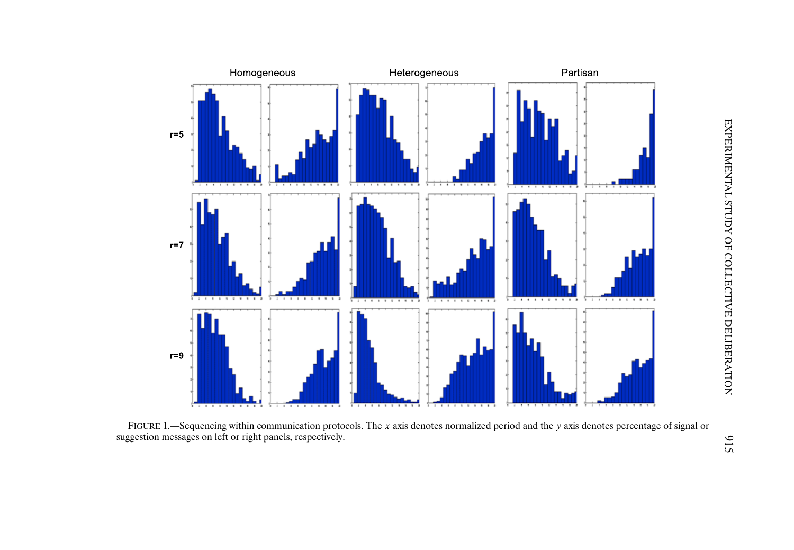<span id="page-22-0"></span>

FIGURE 1.—Sequencing within communication protocols. The x axis denotes normalized period and the y axis denotes percentage of signal or suggestion messages on left or right panels, respectively.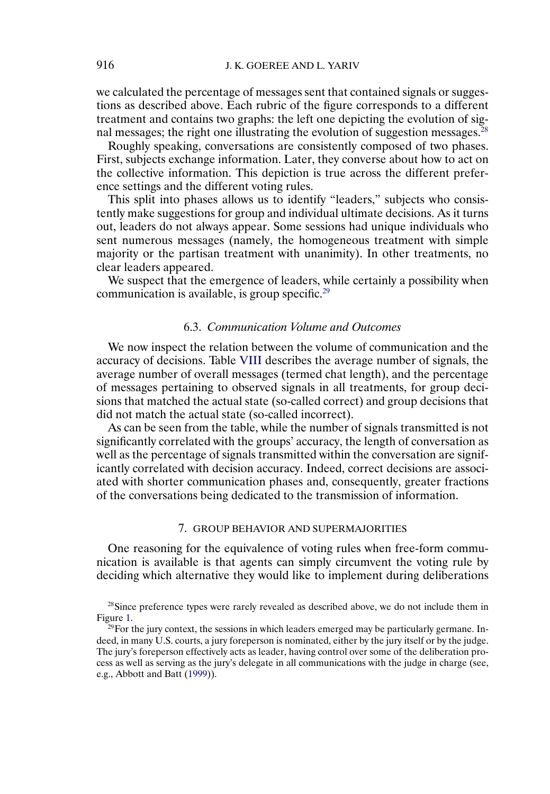<span id="page-23-0"></span>we calculated the percentage of messages sent that contained signals or suggestions as described above. Each rubric of the figure corresponds to a different treatment and contains two graphs: the left one depicting the evolution of signal messages; the right one illustrating the evolution of suggestion messages.<sup>28</sup>

Roughly speaking, conversations are consistently composed of two phases. First, subjects exchange information. Later, they converse about how to act on the collective information. This depiction is true across the different preference settings and the different voting rules.

This split into phases allows us to identify "leaders," subjects who consistently make suggestions for group and individual ultimate decisions. As it turns out, leaders do not always appear. Some sessions had unique individuals who sent numerous messages (namely, the homogeneous treatment with simple majority or the partisan treatment with unanimity). In other treatments, no clear leaders appeared.

We suspect that the emergence of leaders, while certainly a possibility when communication is available, is group specific.29

# 6.3. *Communication Volume and Outcomes*

We now inspect the relation between the volume of communication and the accuracy of decisions. Table [VIII](#page-24-0) describes the average number of signals, the average number of overall messages (termed chat length), and the percentage of messages pertaining to observed signals in all treatments, for group decisions that matched the actual state (so-called correct) and group decisions that did not match the actual state (so-called incorrect).

As can be seen from the table, while the number of signals transmitted is not significantly correlated with the groups' accuracy, the length of conversation as well as the percentage of signals transmitted within the conversation are significantly correlated with decision accuracy. Indeed, correct decisions are associated with shorter communication phases and, consequently, greater fractions of the conversations being dedicated to the transmission of information.

## 7. GROUP BEHAVIOR AND SUPERMAJORITIES

One reasoning for the equivalence of voting rules when free-form communication is available is that agents can simply circumvent the voting rule by deciding which alternative they would like to implement during deliberations

<sup>&</sup>lt;sup>28</sup>Since preference types were rarely revealed as described above, we do not include them in Figure [1.](#page-22-0)

 $29$ For the jury context, the sessions in which leaders emerged may be particularly germane. Indeed, in many U.S. courts, a jury foreperson is nominated, either by the jury itself or by the judge. The jury's foreperson effectively acts as leader, having control over some of the deliberation process as well as serving as the jury's delegate in all communications with the judge in charge (see, e.g., Abbott and Batt [\(1999\)](#page-27-0)).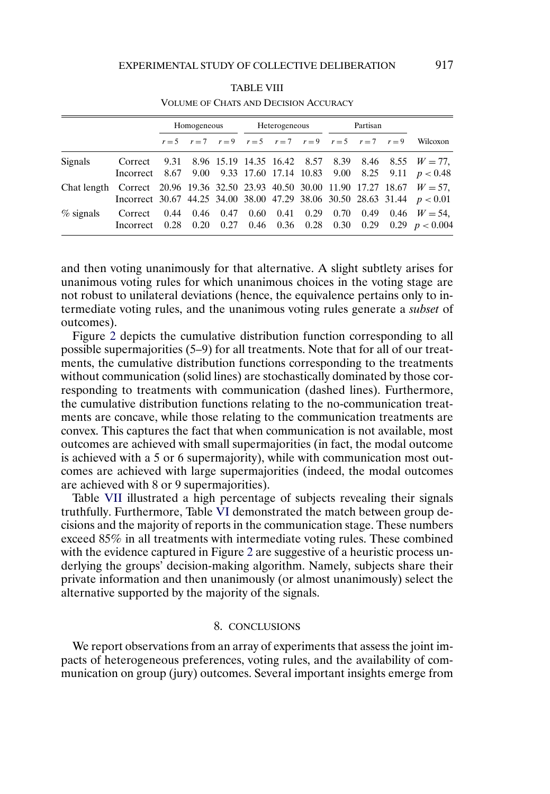<span id="page-24-0"></span>

|                                                                                      |                | Homogeneous |  |  | Heterogeneous |  |  | Partisan |  |  |                                                                                                                                            |
|--------------------------------------------------------------------------------------|----------------|-------------|--|--|---------------|--|--|----------|--|--|--------------------------------------------------------------------------------------------------------------------------------------------|
|                                                                                      |                |             |  |  |               |  |  |          |  |  | $r=5$ $r=7$ $r=9$ $r=5$ $r=7$ $r=9$ $r=5$ $r=7$ $r=9$ Wilcoxon                                                                             |
| Signals                                                                              |                |             |  |  |               |  |  |          |  |  | Correct 9.31 8.96 15.19 14.35 16.42 8.57 8.39 8.46 8.55 $W = 77$ ,<br>Incorrect 8.67 9.00 9.33 17.60 17.14 10.83 9.00 8.25 9.11 $p < 0.48$ |
| Chat length Correct 20.96 19.36 32.50 23.93 40.50 30.00 11.90 17.27 18.67 $W = 57$ , |                |             |  |  |               |  |  |          |  |  | Incorrect 30.67 44.25 34.00 38.00 47.29 38.06 30.50 28.63 31.44 $p < 0.01$                                                                 |
| $\%$ signals                                                                         | Incorrect 0.28 |             |  |  |               |  |  |          |  |  | Correct 0.44 0.46 0.47 0.60 0.41 0.29 0.70 0.49 0.46 $W = 54$ ,<br>$0.20$ $0.27$ $0.46$ $0.36$ $0.28$ $0.30$ $0.29$ $0.29$ $p < 0.004$     |

TABLE VIII VOLUME OF CHATS AND DECISION ACCURACY

and then voting unanimously for that alternative. A slight subtlety arises for unanimous voting rules for which unanimous choices in the voting stage are not robust to unilateral deviations (hence, the equivalence pertains only to intermediate voting rules, and the unanimous voting rules generate a *subset* of outcomes).

Figure [2](#page-25-0) depicts the cumulative distribution function corresponding to all possible supermajorities (5–9) for all treatments. Note that for all of our treatments, the cumulative distribution functions corresponding to the treatments without communication (solid lines) are stochastically dominated by those corresponding to treatments with communication (dashed lines). Furthermore, the cumulative distribution functions relating to the no-communication treatments are concave, while those relating to the communication treatments are convex. This captures the fact that when communication is not available, most outcomes are achieved with small supermajorities (in fact, the modal outcome is achieved with a 5 or 6 supermajority), while with communication most outcomes are achieved with large supermajorities (indeed, the modal outcomes are achieved with 8 or 9 supermajorities).

Table [VII](#page-21-0) illustrated a high percentage of subjects revealing their signals truthfully. Furthermore, Table [VI](#page-19-0) demonstrated the match between group decisions and the majority of reports in the communication stage. These numbers exceed 85% in all treatments with intermediate voting rules. These combined with the evidence captured in Figure [2](#page-25-0) are suggestive of a heuristic process underlying the groups' decision-making algorithm. Namely, subjects share their private information and then unanimously (or almost unanimously) select the alternative supported by the majority of the signals.

## 8. CONCLUSIONS

We report observations from an array of experiments that assess the joint impacts of heterogeneous preferences, voting rules, and the availability of communication on group (jury) outcomes. Several important insights emerge from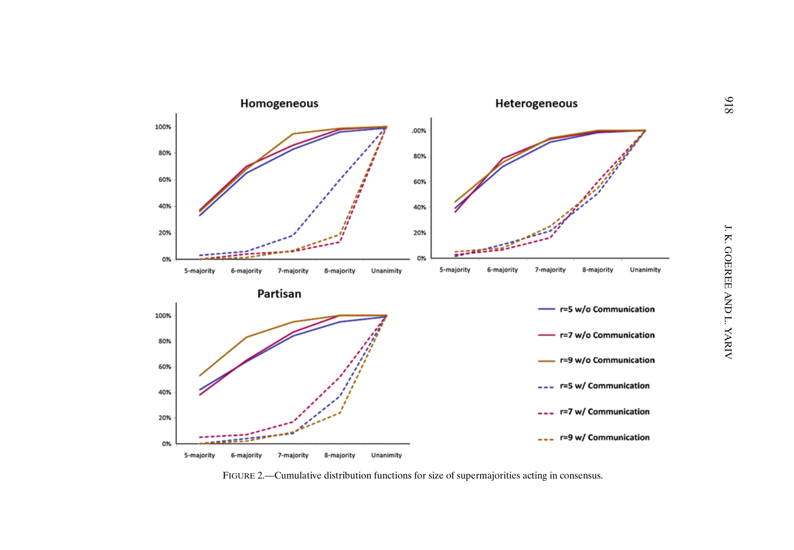<span id="page-25-0"></span>

FIGURE 2.—Cumulative distribution functions for size of supermajorities acting in consensus.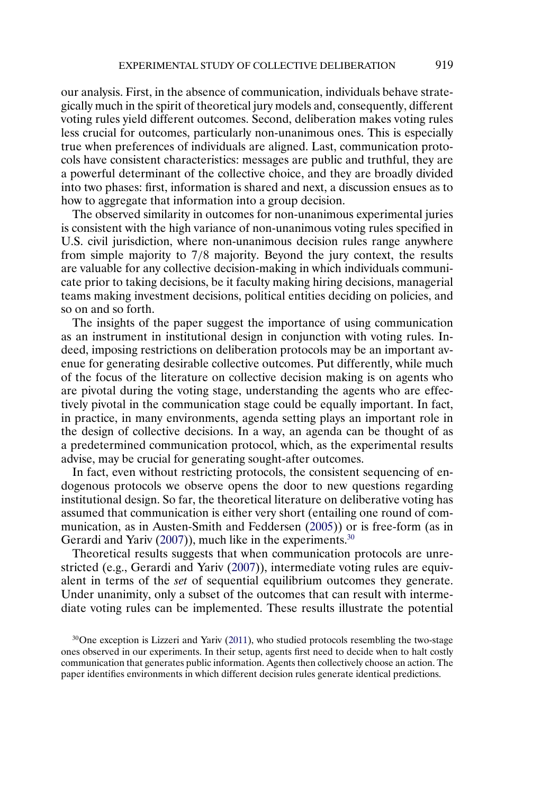our analysis. First, in the absence of communication, individuals behave strategically much in the spirit of theoretical jury models and, consequently, different voting rules yield different outcomes. Second, deliberation makes voting rules less crucial for outcomes, particularly non-unanimous ones. This is especially true when preferences of individuals are aligned. Last, communication protocols have consistent characteristics: messages are public and truthful, they are a powerful determinant of the collective choice, and they are broadly divided into two phases: first, information is shared and next, a discussion ensues as to how to aggregate that information into a group decision.

The observed similarity in outcomes for non-unanimous experimental juries is consistent with the high variance of non-unanimous voting rules specified in U.S. civil jurisdiction, where non-unanimous decision rules range anywhere from simple majority to 7/8 majority. Beyond the jury context, the results are valuable for any collective decision-making in which individuals communicate prior to taking decisions, be it faculty making hiring decisions, managerial teams making investment decisions, political entities deciding on policies, and so on and so forth.

The insights of the paper suggest the importance of using communication as an instrument in institutional design in conjunction with voting rules. Indeed, imposing restrictions on deliberation protocols may be an important avenue for generating desirable collective outcomes. Put differently, while much of the focus of the literature on collective decision making is on agents who are pivotal during the voting stage, understanding the agents who are effectively pivotal in the communication stage could be equally important. In fact, in practice, in many environments, agenda setting plays an important role in the design of collective decisions. In a way, an agenda can be thought of as a predetermined communication protocol, which, as the experimental results advise, may be crucial for generating sought-after outcomes.

In fact, even without restricting protocols, the consistent sequencing of endogenous protocols we observe opens the door to new questions regarding institutional design. So far, the theoretical literature on deliberative voting has assumed that communication is either very short (entailing one round of communication, as in Austen-Smith and Feddersen [\(2005\)](#page-27-0)) or is free-form (as in Gerardi and Yariv  $(2007)$ , much like in the experiments.<sup>30</sup>

Theoretical results suggests that when communication protocols are unrestricted (e.g., Gerardi and Yariv [\(2007\)](#page-28-0)), intermediate voting rules are equivalent in terms of the *set* of sequential equilibrium outcomes they generate. Under unanimity, only a subset of the outcomes that can result with intermediate voting rules can be implemented. These results illustrate the potential

 $30$ One exception is Lizzeri and Yariv [\(2011\)](#page-28-0), who studied protocols resembling the two-stage ones observed in our experiments. In their setup, agents first need to decide when to halt costly communication that generates public information. Agents then collectively choose an action. The paper identifies environments in which different decision rules generate identical predictions.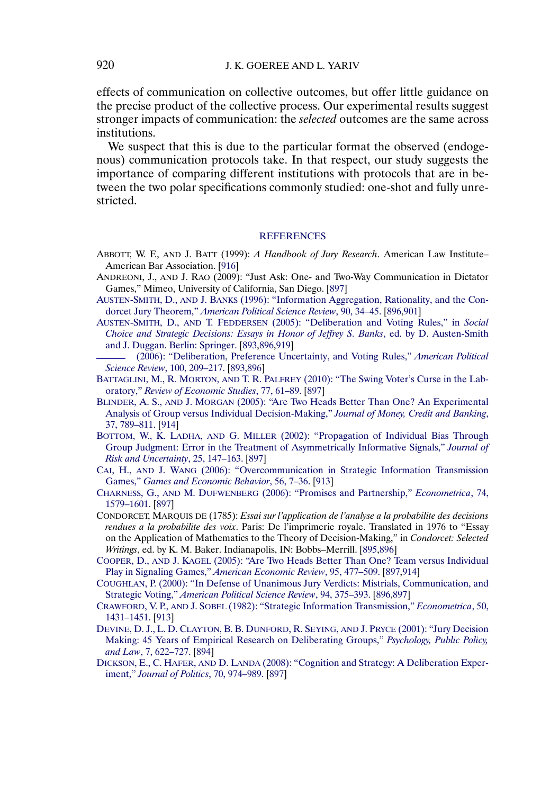<span id="page-27-0"></span>effects of communication on collective outcomes, but offer little guidance on the precise product of the collective process. Our experimental results suggest stronger impacts of communication: the *selected* outcomes are the same across institutions.

We suspect that this is due to the particular format the observed (endogenous) communication protocols take. In that respect, our study suggests the importance of comparing different institutions with protocols that are in between the two polar specifications commonly studied: one-shot and fully unrestricted.

#### **[REFERENCES](http://www.e-publications.org/srv/ecta/linkserver/setprefs?rfe_id=urn:sici%2F0012-9682%28201105%2979%3A3%3C893%3AAESOCD%3E2.0.CO%3B2-1)**

- ABBOTT, W. F., AND J. BATT (1999): *A Handbook of Jury Research*. American Law Institute– American Bar Association. [\[916\]](#page-23-0)
- ANDREONI, J., AND J. RAO (2009): "Just Ask: One- and Two-Way Communication in Dictator Games," Mimeo, University of California, San Diego. [\[897\]](#page-4-0)
- AUSTEN-SMITH, D., AND J. BANKS [\(1996\): "Information Aggregation, Rationality, and the Con](http://www.e-publications.org/srv/ecta/linkserver/openurl?rft_dat=bib:3/Austen-SmithBanks&rfe_id=urn:sici%2F0012-9682%28201105%2979%3A3%3C893%3AAESOCD%3E2.0.CO%3B2-1)dorcet Jury Theorem," *[American Political Science Review](http://www.e-publications.org/srv/ecta/linkserver/openurl?rft_dat=bib:3/Austen-SmithBanks&rfe_id=urn:sici%2F0012-9682%28201105%2979%3A3%3C893%3AAESOCD%3E2.0.CO%3B2-1)*, 90, 34–45. [\[896,901\]](#page-3-0)
- AUSTEN-SMITH, D., AND T. FEDDERSEN [\(2005\): "Deliberation and Voting Rules," in](http://www.e-publications.org/srv/ecta/linkserver/openurl?rft_dat=bib:4/Austen-SmithFeddersena&rfe_id=urn:sici%2F0012-9682%28201105%2979%3A3%3C893%3AAESOCD%3E2.0.CO%3B2-1) *Social [Choice and Strategic Decisions: Essays in Honor of Jeffrey S. Banks](http://www.e-publications.org/srv/ecta/linkserver/openurl?rft_dat=bib:4/Austen-SmithFeddersena&rfe_id=urn:sici%2F0012-9682%28201105%2979%3A3%3C893%3AAESOCD%3E2.0.CO%3B2-1)*, ed. by D. Austen-Smith [and J. Duggan. Berlin: Springer.](http://www.e-publications.org/srv/ecta/linkserver/openurl?rft_dat=bib:4/Austen-SmithFeddersena&rfe_id=urn:sici%2F0012-9682%28201105%2979%3A3%3C893%3AAESOCD%3E2.0.CO%3B2-1) [\[893,896](#page-0-0)[,919\]](#page-3-0)
- [\(2006\): "Deliberation, Preference Uncertainty, and Voting Rules,"](http://www.e-publications.org/srv/ecta/linkserver/openurl?rft_dat=bib:5/Austen-SmithFeddersenb&rfe_id=urn:sici%2F0012-9682%28201105%2979%3A3%3C893%3AAESOCD%3E2.0.CO%3B2-1) *American Political [Science Review](http://www.e-publications.org/srv/ecta/linkserver/openurl?rft_dat=bib:5/Austen-SmithFeddersenb&rfe_id=urn:sici%2F0012-9682%28201105%2979%3A3%3C893%3AAESOCD%3E2.0.CO%3B2-1)*, 100, 209–217. [\[893,896\]](#page-0-0)
- BATTAGLINI, M., R. MORTON, AND T. R. PALFREY [\(2010\): "The Swing Voter's Curse in the Lab](http://www.e-publications.org/srv/ecta/linkserver/openurl?rft_dat=bib:6/Batetal2010&rfe_id=urn:sici%2F0012-9682%28201105%2979%3A3%3C893%3AAESOCD%3E2.0.CO%3B2-1)oratory," *[Review of Economic Studies](http://www.e-publications.org/srv/ecta/linkserver/openurl?rft_dat=bib:6/Batetal2010&rfe_id=urn:sici%2F0012-9682%28201105%2979%3A3%3C893%3AAESOCD%3E2.0.CO%3B2-1)*, 77, 61–89. [\[897\]](#page-4-0)
- BLINDER, A. S., AND J. MORGAN [\(2005\): "Are Two Heads Better Than One? An Experimental](http://www.e-publications.org/srv/ecta/linkserver/openurl?rft_dat=bib:7/BliMor2005&rfe_id=urn:sici%2F0012-9682%28201105%2979%3A3%3C893%3AAESOCD%3E2.0.CO%3B2-1) [Analysis of Group versus Individual Decision-Making,"](http://www.e-publications.org/srv/ecta/linkserver/openurl?rft_dat=bib:7/BliMor2005&rfe_id=urn:sici%2F0012-9682%28201105%2979%3A3%3C893%3AAESOCD%3E2.0.CO%3B2-1) *Journal of Money, Credit and Banking*, [37, 789–811.](http://www.e-publications.org/srv/ecta/linkserver/openurl?rft_dat=bib:7/BliMor2005&rfe_id=urn:sici%2F0012-9682%28201105%2979%3A3%3C893%3AAESOCD%3E2.0.CO%3B2-1) [\[914\]](#page-21-0)
- BOTTOM, W., K. LADHA, AND G. MILLER [\(2002\): "Propagation of Individual Bias Through](http://www.e-publications.org/srv/ecta/linkserver/openurl?rft_dat=bib:8/Botetal2002&rfe_id=urn:sici%2F0012-9682%28201105%2979%3A3%3C893%3AAESOCD%3E2.0.CO%3B2-1) [Group Judgment: Error in the Treatment of Asymmetrically Informative Signals,"](http://www.e-publications.org/srv/ecta/linkserver/openurl?rft_dat=bib:8/Botetal2002&rfe_id=urn:sici%2F0012-9682%28201105%2979%3A3%3C893%3AAESOCD%3E2.0.CO%3B2-1) *Journal of [Risk and Uncertainty](http://www.e-publications.org/srv/ecta/linkserver/openurl?rft_dat=bib:8/Botetal2002&rfe_id=urn:sici%2F0012-9682%28201105%2979%3A3%3C893%3AAESOCD%3E2.0.CO%3B2-1)*, 25, 147–163. [\[897\]](#page-4-0)
- CAI, H., AND J. WANG [\(2006\): "Overcommunication in Strategic Information Transmission](http://www.e-publications.org/srv/ecta/linkserver/openurl?rft_dat=bib:9/CaiWan2006&rfe_id=urn:sici%2F0012-9682%28201105%2979%3A3%3C893%3AAESOCD%3E2.0.CO%3B2-1) Games," *[Games and Economic Behavior](http://www.e-publications.org/srv/ecta/linkserver/openurl?rft_dat=bib:9/CaiWan2006&rfe_id=urn:sici%2F0012-9682%28201105%2979%3A3%3C893%3AAESOCD%3E2.0.CO%3B2-1)*, 56, 7–36. [\[913\]](#page-20-0)
- CHARNESS, G., AND M. DUFWENBERG [\(2006\): "Promises and Partnership,"](http://www.e-publications.org/srv/ecta/linkserver/openurl?rft_dat=bib:10/ChaDuf2006&rfe_id=urn:sici%2F0012-9682%28201105%2979%3A3%3C893%3AAESOCD%3E2.0.CO%3B2-1) *Econometrica*, 74, [1579–1601.](http://www.e-publications.org/srv/ecta/linkserver/openurl?rft_dat=bib:10/ChaDuf2006&rfe_id=urn:sici%2F0012-9682%28201105%2979%3A3%3C893%3AAESOCD%3E2.0.CO%3B2-1) [\[897\]](#page-4-0)
- CONDORCET, MARQUIS DE (1785): *Essai sur l'application de l'analyse a la probabilite des decisions rendues a la probabilite des voix*. Paris: De l'imprimerie royale. Translated in 1976 to "Essay on the Application of Mathematics to the Theory of Decision-Making," in *Condorcet: Selected Writings*, ed. by K. M. Baker. Indianapolis, IN: Bobbs–Merrill. [\[895,896\]](#page-2-0)
- COOPER, D., AND J. KAGEL [\(2005\): "Are Two Heads Better Than One? Team versus Individual](http://www.e-publications.org/srv/ecta/linkserver/openurl?rft_dat=bib:12/CooKag2005&rfe_id=urn:sici%2F0012-9682%28201105%2979%3A3%3C893%3AAESOCD%3E2.0.CO%3B2-1) Play in Signaling Games," *[American Economic Review](http://www.e-publications.org/srv/ecta/linkserver/openurl?rft_dat=bib:12/CooKag2005&rfe_id=urn:sici%2F0012-9682%28201105%2979%3A3%3C893%3AAESOCD%3E2.0.CO%3B2-1)*, 95, 477–509. [\[897,914\]](#page-4-0)
- [COUGHLAN, P. \(2000\): "In Defense of Unanimous Jury Verdicts: Mistrials, Communication, and](http://www.e-publications.org/srv/ecta/linkserver/openurl?rft_dat=bib:13/Cou2000&rfe_id=urn:sici%2F0012-9682%28201105%2979%3A3%3C893%3AAESOCD%3E2.0.CO%3B2-1) Strategic Voting," *[American Political Science Review](http://www.e-publications.org/srv/ecta/linkserver/openurl?rft_dat=bib:13/Cou2000&rfe_id=urn:sici%2F0012-9682%28201105%2979%3A3%3C893%3AAESOCD%3E2.0.CO%3B2-1)*, 94, 375–393. [\[896,897\]](#page-3-0)
- CRAWFORD, V. P., AND J. SOBEL [\(1982\): "Strategic Information Transmission,"](http://www.e-publications.org/srv/ecta/linkserver/openurl?rft_dat=bib:14/CraSob1982&rfe_id=urn:sici%2F0012-9682%28201105%2979%3A3%3C893%3AAESOCD%3E2.0.CO%3B2-1) *Econometrica*, 50, [1431–1451.](http://www.e-publications.org/srv/ecta/linkserver/openurl?rft_dat=bib:14/CraSob1982&rfe_id=urn:sici%2F0012-9682%28201105%2979%3A3%3C893%3AAESOCD%3E2.0.CO%3B2-1) [\[913\]](#page-20-0)
- [DEVINE, D. J., L. D. CLAYTON, B. B. DUNFORD, R. SEYING,](http://www.e-publications.org/srv/ecta/linkserver/openurl?rft_dat=bib:15/Devetal2001&rfe_id=urn:sici%2F0012-9682%28201105%2979%3A3%3C893%3AAESOCD%3E2.0.CO%3B2-1) AND J. PRYCE (2001): "Jury Decision [Making: 45 Years of Empirical Research on Deliberating Groups,"](http://www.e-publications.org/srv/ecta/linkserver/openurl?rft_dat=bib:15/Devetal2001&rfe_id=urn:sici%2F0012-9682%28201105%2979%3A3%3C893%3AAESOCD%3E2.0.CO%3B2-1) *Psychology, Public Policy, and Law*[, 7, 622–727.](http://www.e-publications.org/srv/ecta/linkserver/openurl?rft_dat=bib:15/Devetal2001&rfe_id=urn:sici%2F0012-9682%28201105%2979%3A3%3C893%3AAESOCD%3E2.0.CO%3B2-1) [\[894\]](#page-1-0)
- DICKSON, E., C. HAFER, AND D. LANDA [\(2008\): "Cognition and Strategy: A Deliberation Exper](http://www.e-publications.org/srv/ecta/linkserver/openurl?rft_dat=bib:16/Dicetal2008&rfe_id=urn:sici%2F0012-9682%28201105%2979%3A3%3C893%3AAESOCD%3E2.0.CO%3B2-1)iment," *[Journal of Politics](http://www.e-publications.org/srv/ecta/linkserver/openurl?rft_dat=bib:16/Dicetal2008&rfe_id=urn:sici%2F0012-9682%28201105%2979%3A3%3C893%3AAESOCD%3E2.0.CO%3B2-1)*, 70, 974–989. [\[897\]](#page-4-0)